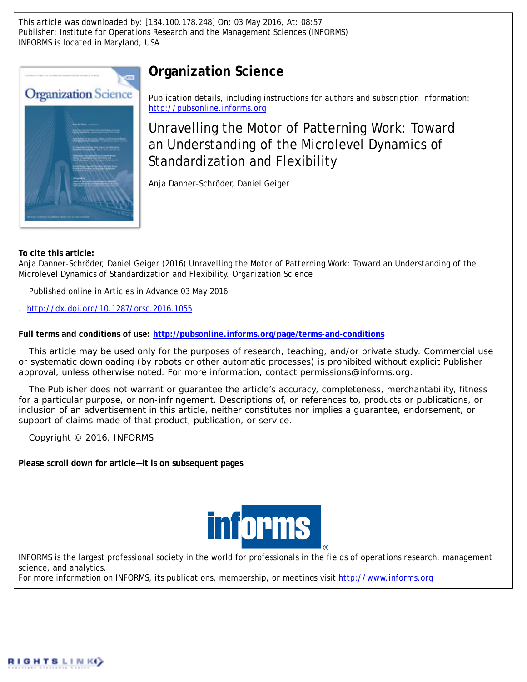This article was downloaded by: [134.100.178.248] On: 03 May 2016, At: 08:57 Publisher: Institute for Operations Research and the Management Sciences (INFORMS) INFORMS is located in Maryland, USA



# **Organization Science**

Publication details, including instructions for authors and subscription information: <http://pubsonline.informs.org>

Unravelling the Motor of Patterning Work: Toward an Understanding of the Microlevel Dynamics of Standardization and Flexibility

Anja Danner-Schröder, Daniel Geiger

**To cite this article:**

Anja Danner-Schröder, Daniel Geiger (2016) Unravelling the Motor of Patterning Work: Toward an Understanding of the Microlevel Dynamics of Standardization and Flexibility. Organization Science

Published online in Articles in Advance 03 May 2016

. <http://dx.doi.org/10.1287/orsc.2016.1055>

**Full terms and conditions of use: <http://pubsonline.informs.org/page/terms-and-conditions>**

This article may be used only for the purposes of research, teaching, and/or private study. Commercial use or systematic downloading (by robots or other automatic processes) is prohibited without explicit Publisher approval, unless otherwise noted. For more information, contact permissions@informs.org.

The Publisher does not warrant or guarantee the article's accuracy, completeness, merchantability, fitness for a particular purpose, or non-infringement. Descriptions of, or references to, products or publications, or inclusion of an advertisement in this article, neither constitutes nor implies a guarantee, endorsement, or support of claims made of that product, publication, or service.

Copyright © 2016, INFORMS

**Please scroll down for article—it is on subsequent pages**



INFORMS is the largest professional society in the world for professionals in the fields of operations research, management science, and analytics.

For more information on INFORMS, its publications, membership, or meetings visit <http://www.informs.org>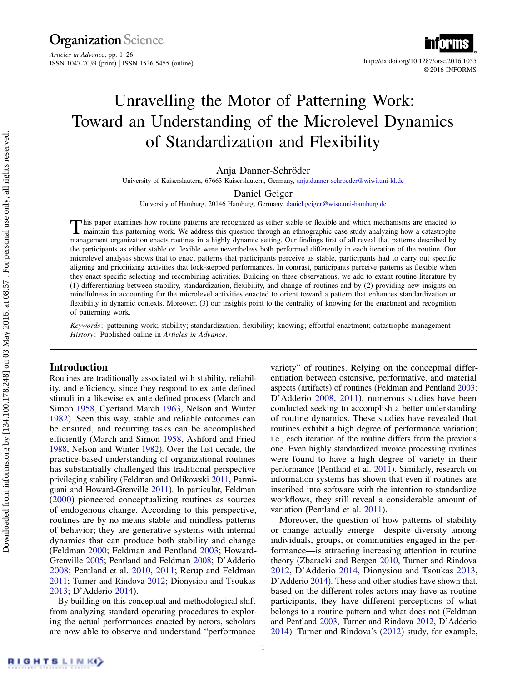**Organization**<br>Articles in Advance, pp. 1–26

ISSN 1047-7039 (print) | ISSN 1526-5455 (online) http://dx.doi.org/10.1287/orsc.2016.1055



# Unravelling the Motor of Patterning Work: Toward an Understanding of the Microlevel Dynamics of Standardization and Flexibility

Anja Danner-Schröder

University of Kaiserslautern, 67663 Kaiserslautern, Germany, [anja.danner-schroeder@wiwi.uni-kl.de](mailto:anja.danner-schroeder@wiwi.uni-kl.de)

Daniel Geiger

University of Hamburg, 20146 Hamburg, Germany, [daniel.geiger@wiso.uni-hamburg.de](mailto:daniel.geiger@wiso.uni-hamburg.de)

This paper examines how routine patterns are recognized as either stable or flexible and which mechanisms are enacted to maintain this patterning work. We address this question through an ethnographic case study analyzing maintain this patterning work. We address this question through an ethnographic case study analyzing how a catastrophe management organization enacts routines in a highly dynamic setting. Our findings first of all reveal that patterns described by the participants as either stable or flexible were nevertheless both performed differently in each iteration of the routine. Our microlevel analysis shows that to enact patterns that participants perceive as stable, participants had to carry out specific aligning and prioritizing activities that lock-stepped performances. In contrast, participants perceive patterns as flexible when they enact specific selecting and recombining activities. Building on these observations, we add to extant routine literature by (1) differentiating between stability, standardization, flexibility, and change of routines and by (2) providing new insights on mindfulness in accounting for the microlevel activities enacted to orient toward a pattern that enhances standardization or flexibility in dynamic contexts. Moreover, (3) our insights point to the centrality of knowing for the enactment and recognition of patterning work.

Keywords: patterning work; stability; standardization; flexibility; knowing; effortful enactment; catastrophe management History: Published online in Articles in Advance.

#### Introduction

Routines are traditionally associated with stability, reliability, and efficiency, since they respond to ex ante defined stimuli in a likewise ex ante defined process (March and Simon [1958,](#page-25-0) Cyertand March [1963,](#page-24-0) Nelson and Winter [1982\)](#page-25-1). Seen this way, stable and reliable outcomes can be ensured, and recurring tasks can be accomplished efficiently (March and Simon [1958,](#page-25-0) Ashford and Fried [1988,](#page-24-1) Nelson and Winter [1982\)](#page-25-1). Over the last decade, the practice-based understanding of organizational routines has substantially challenged this traditional perspective privileging stability (Feldman and Orlikowski [2011,](#page-24-2) Parmigiani and Howard-Grenville [2011\)](#page-25-2). In particular, Feldman [\(2000\)](#page-24-3) pioneered conceptualizing routines as sources of endogenous change. According to this perspective, routines are by no means stable and mindless patterns of behavior; they are generative systems with internal dynamics that can produce both stability and change (Feldman [2000;](#page-24-3) Feldman and Pentland [2003;](#page-24-4) Howard-Grenville [2005;](#page-25-3) Pentland and Feldman [2008;](#page-25-4) D'Adderio [2008;](#page-24-5) Pentland et al. [2010,](#page-25-5) [2011;](#page-25-6) Rerup and Feldman [2011;](#page-25-7) Turner and Rindova [2012;](#page-26-0) Dionysiou and Tsoukas [2013;](#page-24-6) D'Adderio [2014\)](#page-24-7).

By building on this conceptual and methodological shift from analyzing standard operating procedures to exploring the actual performances enacted by actors, scholars are now able to observe and understand "performance

variety" of routines. Relying on the conceptual differentiation between ostensive, performative, and material aspects (artifacts) of routines (Feldman and Pentland [2003;](#page-24-4) D'Adderio [2008,](#page-24-5) [2011\)](#page-24-8), numerous studies have been conducted seeking to accomplish a better understanding of routine dynamics. These studies have revealed that routines exhibit a high degree of performance variation; i.e., each iteration of the routine differs from the previous one. Even highly standardized invoice processing routines were found to have a high degree of variety in their performance (Pentland et al. [2011\)](#page-25-6). Similarly, research on information systems has shown that even if routines are inscribed into software with the intention to standardize workflows, they still reveal a considerable amount of variation (Pentland et al. [2011\)](#page-25-6).

Moreover, the question of how patterns of stability or change actually emerge—despite diversity among individuals, groups, or communities engaged in the performance—is attracting increasing attention in routine theory (Zbaracki and Bergen [2010,](#page-26-1) Turner and Rindova [2012,](#page-26-0) D'Adderio [2014,](#page-24-7) Dionysiou and Tsoukas [2013,](#page-24-6) D'Adderio [2014\)](#page-24-7). These and other studies have shown that, based on the different roles actors may have as routine participants, they have different perceptions of what belongs to a routine pattern and what does not (Feldman and Pentland [2003,](#page-24-4) Turner and Rindova [2012,](#page-26-0) D'Adderio [2014\)](#page-24-7). Turner and Rindova's [\(2012\)](#page-26-0) study, for example,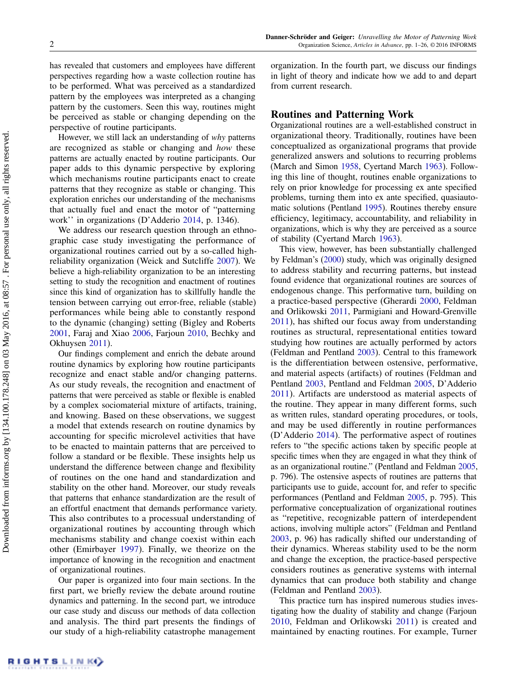has revealed that customers and employees have different perspectives regarding how a waste collection routine has to be performed. What was perceived as a standardized pattern by the employees was interpreted as a changing pattern by the customers. Seen this way, routines might be perceived as stable or changing depending on the perspective of routine participants.

However, we still lack an understanding of why patterns are recognized as stable or changing and how these patterns are actually enacted by routine participants. Our paper adds to this dynamic perspective by exploring which mechanisms routine participants enact to create patterns that they recognize as stable or changing. This exploration enriches our understanding of the mechanisms that actually fuel and enact the motor of "patterning work'' in organizations (D'Adderio [2014,](#page-24-7) p. 1346).

We address our research question through an ethnographic case study investigating the performance of organizational routines carried out by a so-called highreliability organization (Weick and Sutcliffe [2007\)](#page-26-2). We believe a high-reliability organization to be an interesting setting to study the recognition and enactment of routines since this kind of organization has to skillfully handle the tension between carrying out error-free, reliable (stable) performances while being able to constantly respond to the dynamic (changing) setting (Bigley and Roberts [2001,](#page-24-9) Faraj and Xiao [2006,](#page-24-10) Farjoun [2010,](#page-24-11) Bechky and Okhuysen [2011\)](#page-24-12).

Our findings complement and enrich the debate around routine dynamics by exploring how routine participants recognize and enact stable and/or changing patterns. As our study reveals, the recognition and enactment of patterns that were perceived as stable or flexible is enabled by a complex sociomaterial mixture of artifacts, training, and knowing. Based on these observations, we suggest a model that extends research on routine dynamics by accounting for specific microlevel activities that have to be enacted to maintain patterns that are perceived to follow a standard or be flexible. These insights help us understand the difference between change and flexibility of routines on the one hand and standardization and stability on the other hand. Moreover, our study reveals that patterns that enhance standardization are the result of an effortful enactment that demands performance variety. This also contributes to a processual understanding of organizational routines by accounting through which mechanisms stability and change coexist within each other (Emirbayer [1997\)](#page-24-13). Finally, we theorize on the importance of knowing in the recognition and enactment of organizational routines.

Our paper is organized into four main sections. In the first part, we briefly review the debate around routine dynamics and patterning. In the second part, we introduce our case study and discuss our methods of data collection and analysis. The third part presents the findings of our study of a high-reliability catastrophe management organization. In the fourth part, we discuss our findings in light of theory and indicate how we add to and depart from current research.

# Routines and Patterning Work

Organizational routines are a well-established construct in organizational theory. Traditionally, routines have been conceptualized as organizational programs that provide generalized answers and solutions to recurring problems (March and Simon [1958,](#page-25-0) Cyertand March [1963\)](#page-24-0). Following this line of thought, routines enable organizations to rely on prior knowledge for processing ex ante specified problems, turning them into ex ante specified, quasiautomatic solutions (Pentland [1995\)](#page-25-8). Routines thereby ensure efficiency, legitimacy, accountability, and reliability in organizations, which is why they are perceived as a source of stability (Cyertand March [1963\)](#page-24-0).

This view, however, has been substantially challenged by Feldman's [\(2000\)](#page-24-3) study, which was originally designed to address stability and recurring patterns, but instead found evidence that organizational routines are sources of endogenous change. This performative turn, building on a practice-based perspective (Gherardi [2000,](#page-25-9) Feldman and Orlikowski [2011,](#page-24-2) Parmigiani and Howard-Grenville [2011\)](#page-25-2), has shifted our focus away from understanding routines as structural, representational entities toward studying how routines are actually performed by actors (Feldman and Pentland [2003\)](#page-24-4). Central to this framework is the differentiation between ostensive, performative, and material aspects (artifacts) of routines (Feldman and Pentland [2003,](#page-24-4) Pentland and Feldman [2005,](#page-25-10) D'Adderio [2011\)](#page-24-8). Artifacts are understood as material aspects of the routine. They appear in many different forms, such as written rules, standard operating procedures, or tools, and may be used differently in routine performances (D'Adderio [2014\)](#page-24-7). The performative aspect of routines refers to "the specific actions taken by specific people at specific times when they are engaged in what they think of as an organizational routine." (Pentland and Feldman [2005,](#page-25-10) p. 796). The ostensive aspects of routines are patterns that participants use to guide, account for, and refer to specific performances (Pentland and Feldman [2005,](#page-25-10) p. 795). This performative conceptualization of organizational routines as "repetitive, recognizable pattern of interdependent actions, involving multiple actors" (Feldman and Pentland [2003,](#page-24-4) p. 96) has radically shifted our understanding of their dynamics. Whereas stability used to be the norm and change the exception, the practice-based perspective considers routines as generative systems with internal dynamics that can produce both stability and change (Feldman and Pentland [2003\)](#page-24-4).

This practice turn has inspired numerous studies investigating how the duality of stability and change (Farjoun [2010,](#page-24-11) Feldman and Orlikowski [2011\)](#page-24-2) is created and maintained by enacting routines. For example, Turner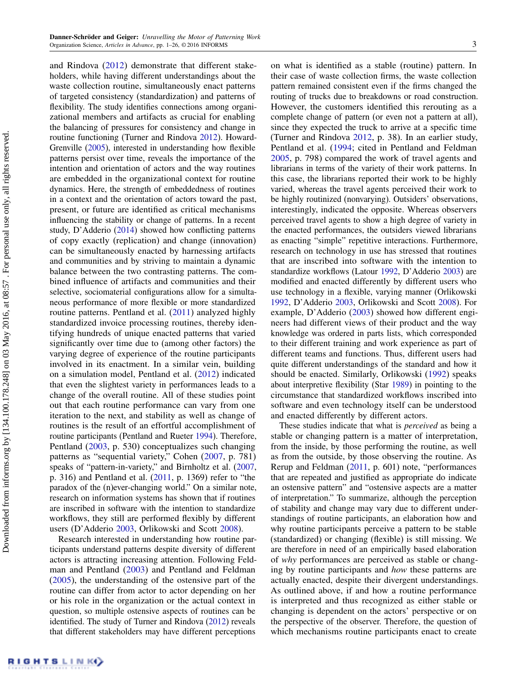and Rindova [\(2012\)](#page-26-0) demonstrate that different stakeholders, while having different understandings about the waste collection routine, simultaneously enact patterns of targeted consistency (standardization) and patterns of flexibility. The study identifies connections among organizational members and artifacts as crucial for enabling the balancing of pressures for consistency and change in routine functioning (Turner and Rindova [2012\)](#page-26-0). Howard-Grenville [\(2005\)](#page-25-3), interested in understanding how flexible patterns persist over time, reveals the importance of the intention and orientation of actors and the way routines are embedded in the organizational context for routine dynamics. Here, the strength of embeddedness of routines in a context and the orientation of actors toward the past, present, or future are identified as critical mechanisms influencing the stability or change of patterns. In a recent study, D'Adderio [\(2014\)](#page-24-7) showed how conflicting patterns of copy exactly (replication) and change (innovation) can be simultaneously enacted by harnessing artifacts and communities and by striving to maintain a dynamic balance between the two contrasting patterns. The combined influence of artifacts and communities and their selective, sociomaterial configurations allow for a simultaneous performance of more flexible or more standardized routine patterns. Pentland et al. [\(2011\)](#page-25-6) analyzed highly standardized invoice processing routines, thereby identifying hundreds of unique enacted patterns that varied significantly over time due to (among other factors) the varying degree of experience of the routine participants involved in its enactment. In a similar vein, building on a simulation model, Pentland et al. [\(2012\)](#page-25-11) indicated that even the slightest variety in performances leads to a change of the overall routine. All of these studies point out that each routine performance can vary from one iteration to the next, and stability as well as change of routines is the result of an effortful accomplishment of routine participants (Pentland and Rueter [1994\)](#page-25-12). Therefore, Pentland [\(2003,](#page-25-13) p. 530) conceptualizes such changing patterns as "sequential variety," Cohen [\(2007,](#page-24-14) p. 781) speaks of "pattern-in-variety," and Birnholtz et al. [\(2007,](#page-24-15) p. 316) and Pentland et al. [\(2011,](#page-25-6) p. 1369) refer to "the paradox of the (n)ever-changing world." On a similar note, research on information systems has shown that if routines are inscribed in software with the intention to standardize workflows, they still are performed flexibly by different users (D'Adderio [2003,](#page-24-16) Orlikowski and Scott [2008\)](#page-25-14).

Research interested in understanding how routine participants understand patterns despite diversity of different actors is attracting increasing attention. Following Feldman and Pentland [\(2003\)](#page-24-4) and Pentland and Feldman [\(2005\)](#page-25-10), the understanding of the ostensive part of the routine can differ from actor to actor depending on her or his role in the organization or the actual context in question, so multiple ostensive aspects of routines can be identified. The study of Turner and Rindova [\(2012\)](#page-26-0) reveals that different stakeholders may have different perceptions

on what is identified as a stable (routine) pattern. In their case of waste collection firms, the waste collection pattern remained consistent even if the firms changed the routing of trucks due to breakdowns or road construction. However, the customers identified this rerouting as a complete change of pattern (or even not a pattern at all), since they expected the truck to arrive at a specific time (Turner and Rindova [2012,](#page-26-0) p. 38). In an earlier study, Pentland et al. [\(1994;](#page-25-15) cited in Pentland and Feldman [2005,](#page-25-10) p. 798) compared the work of travel agents and librarians in terms of the variety of their work patterns. In this case, the librarians reported their work to be highly varied, whereas the travel agents perceived their work to be highly routinized (nonvarying). Outsiders' observations, interestingly, indicated the opposite. Whereas observers perceived travel agents to show a high degree of variety in the enacted performances, the outsiders viewed librarians as enacting "simple" repetitive interactions. Furthermore, research on technology in use has stressed that routines that are inscribed into software with the intention to standardize workflows (Latour [1992,](#page-25-16) D'Adderio [2003\)](#page-24-16) are modified and enacted differently by different users who use technology in a flexible, varying manner (Orlikowski [1992,](#page-25-17) D'Adderio [2003,](#page-24-16) Orlikowski and Scott [2008\)](#page-25-14). For example, D'Adderio [\(2003\)](#page-24-16) showed how different engineers had different views of their product and the way knowledge was ordered in parts lists, which corresponded to their different training and work experience as part of different teams and functions. Thus, different users had quite different understandings of the standard and how it should be enacted. Similarly, Orlikowski [\(1992\)](#page-25-17) speaks about interpretive flexibility (Star [1989\)](#page-25-18) in pointing to the circumstance that standardized workflows inscribed into software and even technology itself can be understood and enacted differently by different actors.

These studies indicate that what is *perceived* as being a stable or changing pattern is a matter of interpretation, from the inside, by those performing the routine, as well as from the outside, by those observing the routine. As Rerup and Feldman [\(2011,](#page-25-7) p. 601) note, "performances that are repeated and justified as appropriate do indicate an ostensive pattern" and "ostensive aspects are a matter of interpretation." To summarize, although the perception of stability and change may vary due to different understandings of routine participants, an elaboration how and why routine participants perceive a pattern to be stable (standardized) or changing (flexible) is still missing. We are therefore in need of an empirically based elaboration of why performances are perceived as stable or changing by routine participants and how these patterns are actually enacted, despite their divergent understandings. As outlined above, if and how a routine performance is interpreted and thus recognized as either stable or changing is dependent on the actors' perspective or on the perspective of the observer. Therefore, the question of which mechanisms routine participants enact to create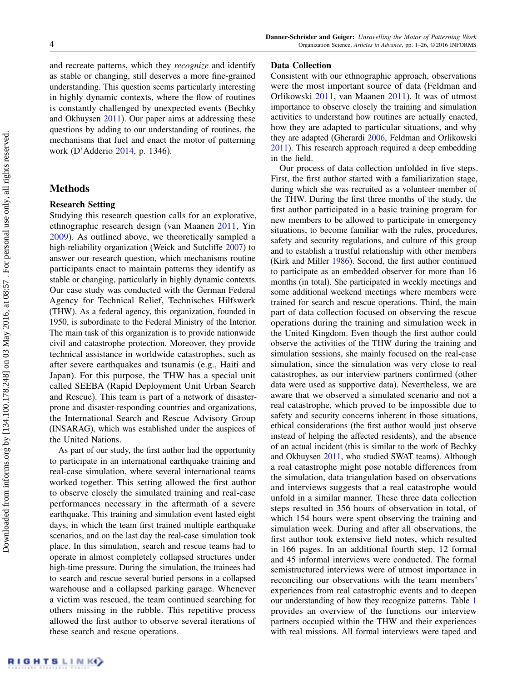and recreate patterns, which they recognize and identify as stable or changing, still deserves a more fine-grained understanding. This question seems particularly interesting in highly dynamic contexts, where the flow of routines is constantly challenged by unexpected events (Bechky and Okhuysen [2011\)](#page-24-12). Our paper aims at addressing these questions by adding to our understanding of routines, the mechanisms that fuel and enact the motor of patterning work (D'Adderio [2014,](#page-24-7) p. 1346).

# Methods

# Research Setting

Studying this research question calls for an explorative, ethnographic research design (van Maanen [2011,](#page-26-3) Yin [2009\)](#page-26-4). As outlined above, we theoretically sampled a high-reliability organization (Weick and Sutcliffe [2007\)](#page-26-2) to answer our research question, which mechanisms routine participants enact to maintain patterns they identify as stable or changing, particularly in highly dynamic contexts. Our case study was conducted with the German Federal Agency for Technical Relief, Technisches Hilfswerk (THW). As a federal agency, this organization, founded in 1950, is subordinate to the Federal Ministry of the Interior. The main task of this organization is to provide nationwide civil and catastrophe protection. Moreover, they provide technical assistance in worldwide catastrophes, such as after severe earthquakes and tsunamis (e.g., Haiti and Japan). For this purpose, the THW has a special unit called SEEBA (Rapid Deployment Unit Urban Search and Rescue). This team is part of a network of disasterprone and disaster-responding countries and organizations, the International Search and Rescue Advisory Group (INSARAG), which was established under the auspices of the United Nations.

As part of our study, the first author had the opportunity to participate in an international earthquake training and real-case simulation, where several international teams worked together. This setting allowed the first author to observe closely the simulated training and real-case performances necessary in the aftermath of a severe earthquake. This training and simulation event lasted eight days, in which the team first trained multiple earthquake scenarios, and on the last day the real-case simulation took place. In this simulation, search and rescue teams had to operate in almost completely collapsed structures under high-time pressure. During the simulation, the trainees had to search and rescue several buried persons in a collapsed warehouse and a collapsed parking garage. Whenever a victim was rescued, the team continued searching for others missing in the rubble. This repetitive process allowed the first author to observe several iterations of these search and rescue operations.

#### Data Collection

Consistent with our ethnographic approach, observations were the most important source of data (Feldman and Orlikowski [2011,](#page-24-2) van Maanen [2011\)](#page-26-3). It was of utmost importance to observe closely the training and simulation activities to understand how routines are actually enacted, how they are adapted to particular situations, and why they are adapted (Gherardi [2006,](#page-25-19) Feldman and Orlikowski [2011\)](#page-24-2). This research approach required a deep embedding in the field.

Our process of data collection unfolded in five steps. First, the first author started with a familiarization stage, during which she was recruited as a volunteer member of the THW. During the first three months of the study, the first author participated in a basic training program for new members to be allowed to participate in emergency situations, to become familiar with the rules, procedures, safety and security regulations, and culture of this group and to establish a trustful relationship with other members (Kirk and Miller [1986\)](#page-25-20). Second, the first author continued to participate as an embedded observer for more than 16 months (in total). She participated in weekly meetings and some additional weekend meetings where members were trained for search and rescue operations. Third, the main part of data collection focused on observing the rescue operations during the training and simulation week in the United Kingdom. Even though the first author could observe the activities of the THW during the training and simulation sessions, she mainly focused on the real-case simulation, since the simulation was very close to real catastrophes, as our interview partners confirmed (other data were used as supportive data). Nevertheless, we are aware that we observed a simulated scenario and not a real catastrophe, which proved to be impossible due to safety and security concerns inherent in those situations, ethical considerations (the first author would just observe instead of helping the affected residents), and the absence of an actual incident (this is similar to the work of Bechky and Okhuysen [2011,](#page-24-12) who studied SWAT teams). Although a real catastrophe might pose notable differences from the simulation, data triangulation based on observations and interviews suggests that a real catastrophe would unfold in a similar manner. These three data collection steps resulted in 356 hours of observation in total, of which 154 hours were spent observing the training and simulation week. During and after all observations, the first author took extensive field notes, which resulted in 166 pages. In an additional fourth step, 12 formal and 45 informal interviews were conducted. The formal semistructured interviews were of utmost importance in reconciling our observations with the team members' experiences from real catastrophic events and to deepen our understanding of how they recognize patterns. Table [1](#page-5-0) provides an overview of the functions our interview partners occupied within the THW and their experiences with real missions. All formal interviews were taped and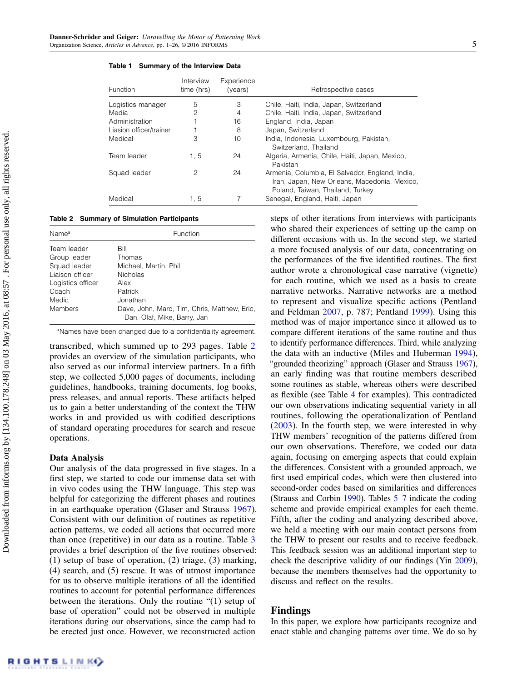<span id="page-5-0"></span>

|  |  | Table 1 Summary of the Interview Data |
|--|--|---------------------------------------|
|--|--|---------------------------------------|

| Function                | Interview<br>time (hrs) | Experience<br>(years) | Retrospective cases                                                                                                                 |
|-------------------------|-------------------------|-----------------------|-------------------------------------------------------------------------------------------------------------------------------------|
| Logistics manager       | 5                       | 3                     | Chile, Haiti, India, Japan, Switzerland                                                                                             |
| Media                   | $\overline{c}$          | 4                     | Chile, Haiti, India, Japan, Switzerland                                                                                             |
| Administration          |                         | 16                    | England, India, Japan                                                                                                               |
| Liasion officer/trainer |                         | 8                     | Japan, Switzerland                                                                                                                  |
| Medical                 | 3                       | 10                    | India, Indonesia, Luxembourg, Pakistan,<br>Switzerland, Thailand                                                                    |
| Team leader             | 1, 5                    | 24                    | Algeria, Armenia, Chile, Haiti, Japan, Mexico,<br>Pakistan                                                                          |
| Squad leader            | $\overline{c}$          | 24                    | Armenia, Columbia, El Salvador, England, India,<br>Iran, Japan, New Orleans, Macedonia, Mexico,<br>Poland, Taiwan, Thailand, Turkey |
| Medical                 | 1, 5                    |                       | Senegal, England, Haiti, Japan                                                                                                      |

<span id="page-5-1"></span>Table 2 Summary of Simulation Participants

| Name <sup>a</sup>                                                                                                              | <b>Function</b>                                                                                                                           |
|--------------------------------------------------------------------------------------------------------------------------------|-------------------------------------------------------------------------------------------------------------------------------------------|
| Team leader<br>Group leader<br>Squad leader<br>Liaison officer<br>Logistics officer<br>Coach<br><b>Medic</b><br><b>Members</b> | Bill<br>Thomas<br>Michael, Martin, Phil<br><b>Nicholas</b><br>Alex<br>Patrick<br>Jonathan<br>Dave, John, Marc, Tim, Chris, Matthew, Eric, |
|                                                                                                                                | Dan, Olaf, Mike, Barry, Jan                                                                                                               |

aNames have been changed due to a confidentiality agreement.

transcribed, which summed up to 293 pages. Table [2](#page-5-1) provides an overview of the simulation participants, who also served as our informal interview partners. In a fifth step, we collected 5,000 pages of documents, including guidelines, handbooks, training documents, log books, press releases, and annual reports. These artifacts helped us to gain a better understanding of the context the THW works in and provided us with codified descriptions of standard operating procedures for search and rescue operations.

#### Data Analysis

Our analysis of the data progressed in five stages. In a first step, we started to code our immense data set with in vivo codes using the THW language. This step was helpful for categorizing the different phases and routines in an earthquake operation (Glaser and Strauss [1967\)](#page-25-21). Consistent with our definition of routines as repetitive action patterns, we coded all actions that occurred more than once (repetitive) in our data as a routine. Table [3](#page-6-0) provides a brief description of the five routines observed: (1) setup of base of operation, (2) triage, (3) marking, (4) search, and (5) rescue. It was of utmost importance for us to observe multiple iterations of all the identified routines to account for potential performance differences between the iterations. Only the routine "(1) setup of base of operation" could not be observed in multiple iterations during our observations, since the camp had to be erected just once. However, we reconstructed action

steps of other iterations from interviews with participants who shared their experiences of setting up the camp on different occasions with us. In the second step, we started a more focused analysis of our data, concentrating on the performances of the five identified routines. The first author wrote a chronological case narrative (vignette) for each routine, which we used as a basis to create narrative networks. Narrative networks are a method to represent and visualize specific actions (Pentland and Feldman [2007,](#page-25-22) p. 787; Pentland [1999\)](#page-25-23). Using this method was of major importance since it allowed us to compare different iterations of the same routine and thus to identify performance differences. Third, while analyzing the data with an inductive (Miles and Huberman [1994\)](#page-25-24), "grounded theorizing" approach (Glaser and Strauss [1967\)](#page-25-21), an early finding was that routine members described some routines as stable, whereas others were described as flexible (see Table [4](#page-6-1) for examples). This contradicted our own observations indicating sequential variety in all routines, following the operationalization of Pentland [\(2003\)](#page-25-13). In the fourth step, we were interested in why THW members' recognition of the patterns differed from our own observations. Therefore, we coded our data again, focusing on emerging aspects that could explain the differences. Consistent with a grounded approach, we first used empirical codes, which were then clustered into second-order codes based on similarities and differences (Strauss and Corbin [1990\)](#page-25-25). Tables [5–](#page-13-0)[7](#page-16-0) indicate the coding scheme and provide empirical examples for each theme. Fifth, after the coding and analyzing described above, we held a meeting with our main contact persons from the THW to present our results and to receive feedback. This feedback session was an additional important step to check the descriptive validity of our findings (Yin [2009\)](#page-26-4), because the members themselves had the opportunity to discuss and reflect on the results.

#### Findings

In this paper, we explore how participants recognize and enact stable and changing patterns over time. We do so by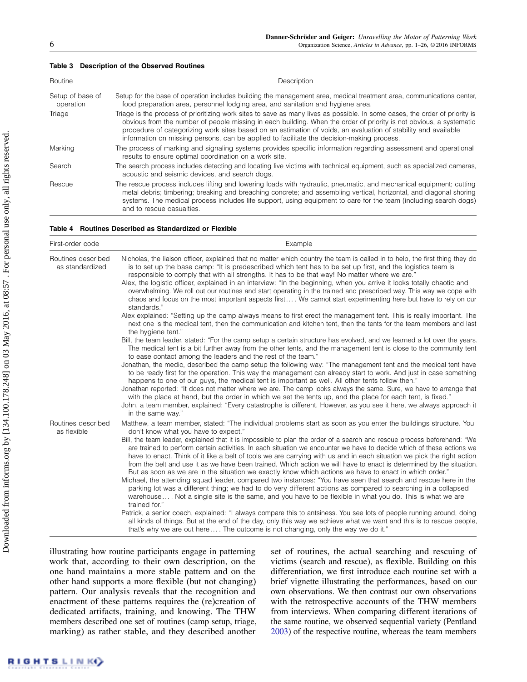| Routine                       | Description                                                                                                                                                                                                                                                                                                                                                                                                                                                       |
|-------------------------------|-------------------------------------------------------------------------------------------------------------------------------------------------------------------------------------------------------------------------------------------------------------------------------------------------------------------------------------------------------------------------------------------------------------------------------------------------------------------|
| Setup of base of<br>operation | Setup for the base of operation includes building the management area, medical treatment area, communications center,<br>food preparation area, personnel lodging area, and sanitation and hygiene area.                                                                                                                                                                                                                                                          |
| Triage                        | Triage is the process of prioritizing work sites to save as many lives as possible. In some cases, the order of priority is<br>obvious from the number of people missing in each building. When the order of priority is not obvious, a systematic<br>procedure of categorizing work sites based on an estimation of voids, an evaluation of stability and available<br>information on missing persons, can be applied to facilitate the decision-making process. |
| Marking                       | The process of marking and signaling systems provides specific information regarding assessment and operational<br>results to ensure optimal coordination on a work site.                                                                                                                                                                                                                                                                                         |
| Search                        | The search process includes detecting and locating live victims with technical equipment, such as specialized cameras,<br>acoustic and seismic devices, and search dogs.                                                                                                                                                                                                                                                                                          |
| Rescue                        | The rescue process includes lifting and lowering loads with hydraulic, pneumatic, and mechanical equipment; cutting<br>metal debris; timbering; breaking and breaching concrete; and assembling vertical, horizontal, and diagonal shoring<br>systems. The medical process includes life support, using equipment to care for the team (including search dogs)<br>and to rescue casualties.                                                                       |

#### <span id="page-6-0"></span>Table 3 Description of the Observed Routines

#### <span id="page-6-1"></span>Table 4 Routines Described as Standardized or Flexible

| First-order code                      | Example                                                                                                                                                                                                                                                                                                                                                                                                                                                                                                                                                                                                                                                                                                                                                                                                                                                                                                                                                                                                                                                                                                                                   |
|---------------------------------------|-------------------------------------------------------------------------------------------------------------------------------------------------------------------------------------------------------------------------------------------------------------------------------------------------------------------------------------------------------------------------------------------------------------------------------------------------------------------------------------------------------------------------------------------------------------------------------------------------------------------------------------------------------------------------------------------------------------------------------------------------------------------------------------------------------------------------------------------------------------------------------------------------------------------------------------------------------------------------------------------------------------------------------------------------------------------------------------------------------------------------------------------|
| Routines described<br>as standardized | Nicholas, the liaison officer, explained that no matter which country the team is called in to help, the first thing they do<br>is to set up the base camp: "It is predescribed which tent has to be set up first, and the logistics team is<br>responsible to comply that with all strengths. It has to be that way! No matter where we are."<br>Alex, the logistic officer, explained in an interview: "In the beginning, when you arrive it looks totally chaotic and<br>overwhelming. We roll out our routines and start operating in the trained and prescribed way. This way we cope with<br>chaos and focus on the most important aspects first We cannot start experimenting here but have to rely on our<br>standards."                                                                                                                                                                                                                                                                                                                                                                                                          |
|                                       | Alex explained: "Setting up the camp always means to first erect the management tent. This is really important. The<br>next one is the medical tent, then the communication and kitchen tent, then the tents for the team members and last<br>the hygiene tent."                                                                                                                                                                                                                                                                                                                                                                                                                                                                                                                                                                                                                                                                                                                                                                                                                                                                          |
|                                       | Bill, the team leader, stated: "For the camp setup a certain structure has evolved, and we learned a lot over the years.<br>The medical tent is a bit further away from the other tents, and the management tent is close to the community tent<br>to ease contact among the leaders and the rest of the team."                                                                                                                                                                                                                                                                                                                                                                                                                                                                                                                                                                                                                                                                                                                                                                                                                           |
|                                       | Jonathan, the medic, described the camp setup the following way: "The management tent and the medical tent have<br>to be ready first for the operation. This way the management can already start to work. And just in case something<br>happens to one of our guys, the medical tent is important as well. All other tents follow then."<br>Jonathan reported: "It does not matter where we are. The camp looks always the same. Sure, we have to arrange that<br>with the place at hand, but the order in which we set the tents up, and the place for each tent, is fixed."<br>John, a team member, explained: "Every catastrophe is different. However, as you see it here, we always approach it<br>in the same way."                                                                                                                                                                                                                                                                                                                                                                                                                |
| Routines described<br>as flexible     | Matthew, a team member, stated: "The individual problems start as soon as you enter the buildings structure. You<br>don't know what you have to expect."<br>Bill, the team leader, explained that it is impossible to plan the order of a search and rescue process beforehand: "We<br>are trained to perform certain activities. In each situation we encounter we have to decide which of these actions we<br>have to enact. Think of it like a belt of tools we are carrying with us and in each situation we pick the right action<br>from the belt and use it as we have been trained. Which action we will have to enact is determined by the situation.<br>But as soon as we are in the situation we exactly know which actions we have to enact in which order."<br>Michael, the attending squad leader, compared two instances: "You have seen that search and rescue here in the<br>parking lot was a different thing; we had to do very different actions as compared to searching in a collapsed<br>warehouse Not a single site is the same, and you have to be flexible in what you do. This is what we are<br>trained for." |
|                                       | Patrick, a senior coach, explained: "I always compare this to antsiness. You see lots of people running around, doing<br>all kinds of things. But at the end of the day, only this way we achieve what we want and this is to rescue people,<br>that's why we are out here  The outcome is not changing, only the way we do it."                                                                                                                                                                                                                                                                                                                                                                                                                                                                                                                                                                                                                                                                                                                                                                                                          |

illustrating how routine participants engage in patterning work that, according to their own description, on the one hand maintains a more stable pattern and on the other hand supports a more flexible (but not changing) pattern. Our analysis reveals that the recognition and enactment of these patterns requires the (re)creation of dedicated artifacts, training, and knowing. The THW members described one set of routines (camp setup, triage, marking) as rather stable, and they described another set of routines, the actual searching and rescuing of victims (search and rescue), as flexible. Building on this differentiation, we first introduce each routine set with a brief vignette illustrating the performances, based on our own observations. We then contrast our own observations with the retrospective accounts of the THW members from interviews. When comparing different iterations of the same routine, we observed sequential variety (Pentland [2003\)](#page-25-13) of the respective routine, whereas the team members

RIGHTSLINK)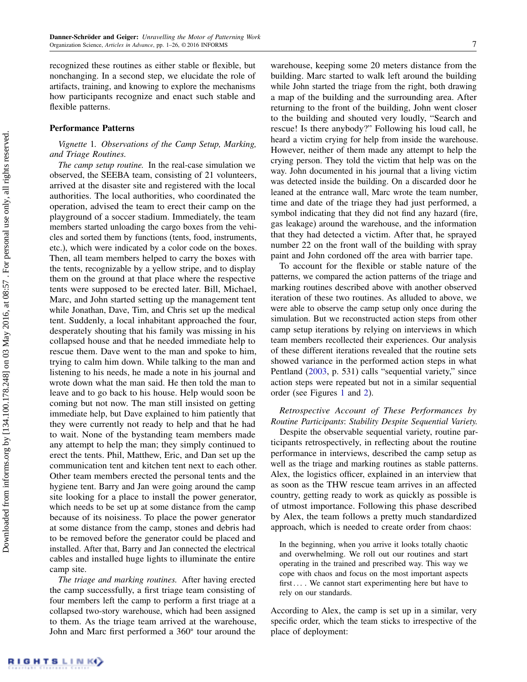recognized these routines as either stable or flexible, but nonchanging. In a second step, we elucidate the role of artifacts, training, and knowing to explore the mechanisms how participants recognize and enact such stable and flexible patterns.

#### Performance Patterns

#### Vignette 1. Observations of the Camp Setup, Marking, and Triage Routines.

The camp setup routine. In the real-case simulation we observed, the SEEBA team, consisting of 21 volunteers, arrived at the disaster site and registered with the local authorities. The local authorities, who coordinated the operation, advised the team to erect their camp on the playground of a soccer stadium. Immediately, the team members started unloading the cargo boxes from the vehicles and sorted them by functions (tents, food, instruments, etc.), which were indicated by a color code on the boxes. Then, all team members helped to carry the boxes with the tents, recognizable by a yellow stripe, and to display them on the ground at that place where the respective tents were supposed to be erected later. Bill, Michael, Marc, and John started setting up the management tent while Jonathan, Dave, Tim, and Chris set up the medical tent. Suddenly, a local inhabitant approached the four, desperately shouting that his family was missing in his collapsed house and that he needed immediate help to rescue them. Dave went to the man and spoke to him, trying to calm him down. While talking to the man and listening to his needs, he made a note in his journal and wrote down what the man said. He then told the man to leave and to go back to his house. Help would soon be coming but not now. The man still insisted on getting immediate help, but Dave explained to him patiently that they were currently not ready to help and that he had to wait. None of the bystanding team members made any attempt to help the man; they simply continued to erect the tents. Phil, Matthew, Eric, and Dan set up the communication tent and kitchen tent next to each other. Other team members erected the personal tents and the hygiene tent. Barry and Jan were going around the camp site looking for a place to install the power generator, which needs to be set up at some distance from the camp because of its noisiness. To place the power generator at some distance from the camp, stones and debris had to be removed before the generator could be placed and installed. After that, Barry and Jan connected the electrical cables and installed huge lights to illuminate the entire camp site.

The triage and marking routines. After having erected the camp successfully, a first triage team consisting of four members left the camp to perform a first triage at a collapsed two-story warehouse, which had been assigned to them. As the triage team arrived at the warehouse, John and Marc first performed a 360° tour around the

warehouse, keeping some 20 meters distance from the building. Marc started to walk left around the building while John started the triage from the right, both drawing a map of the building and the surrounding area. After returning to the front of the building, John went closer to the building and shouted very loudly, "Search and rescue! Is there anybody?" Following his loud call, he heard a victim crying for help from inside the warehouse. However, neither of them made any attempt to help the crying person. They told the victim that help was on the way. John documented in his journal that a living victim was detected inside the building. On a discarded door he leaned at the entrance wall, Marc wrote the team number, time and date of the triage they had just performed, a symbol indicating that they did not find any hazard (fire, gas leakage) around the warehouse, and the information that they had detected a victim. After that, he sprayed number 22 on the front wall of the building with spray paint and John cordoned off the area with barrier tape.

To account for the flexible or stable nature of the patterns, we compared the action patterns of the triage and marking routines described above with another observed iteration of these two routines. As alluded to above, we were able to observe the camp setup only once during the simulation. But we reconstructed action steps from other camp setup iterations by relying on interviews in which team members recollected their experiences. Our analysis of these different iterations revealed that the routine sets showed variance in the performed action steps in what Pentland [\(2003,](#page-25-13) p. 531) calls "sequential variety," since action steps were repeated but not in a similar sequential order (see Figures [1](#page-8-0) and [2\)](#page-9-0).

# Retrospective Account of These Performances by Routine Participants: Stability Despite Sequential Variety.

Despite the observable sequential variety, routine participants retrospectively, in reflecting about the routine performance in interviews, described the camp setup as well as the triage and marking routines as stable patterns. Alex, the logistics officer, explained in an interview that as soon as the THW rescue team arrives in an affected country, getting ready to work as quickly as possible is of utmost importance. Following this phase described by Alex, the team follows a pretty much standardized approach, which is needed to create order from chaos:

In the beginning, when you arrive it looks totally chaotic and overwhelming. We roll out our routines and start operating in the trained and prescribed way. This way we cope with chaos and focus on the most important aspects  $first...$  We cannot start experimenting here but have to rely on our standards.

According to Alex, the camp is set up in a similar, very specific order, which the team sticks to irrespective of the place of deployment: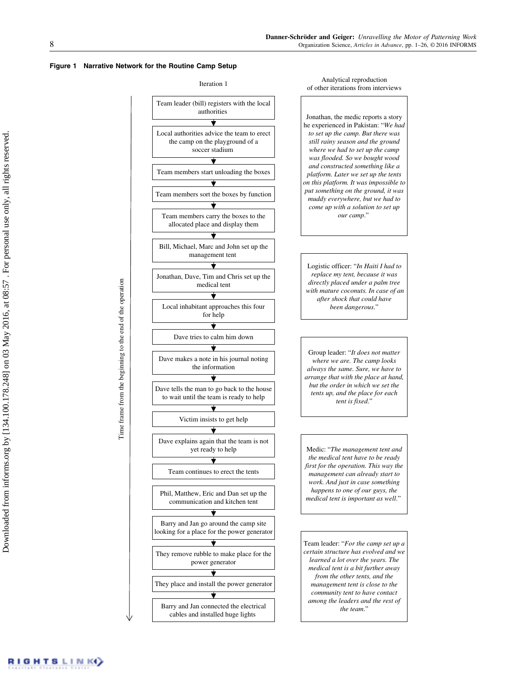#### <span id="page-8-0"></span>Figure 1 Narrative Network for the Routine Camp Setup

# Nalytical reproduction 1 Team leader (bill) registers with the local authorities Local authorities advice the team to erect the camp on the playground of a soccer stadium Team members start unloading the boxes  $\overline{\textbf{v}}$ Team members sort the boxes by function Team members carry the boxes to the allocated place and display them ÷ Bill, Michael, Marc and John set up the management tent Jonathan, Dave, Tim and Chris set up the medical tent Local inhabitant approaches this four for help v Dave tries to calm him down Dave makes a note in his journal noting the information Dave tells the man to go back to the house to wait until the team is ready to help Victim insists to get help Dave explains again that the team is not yet ready to help ╈ Team continues to erect the tents Phil, Matthew, Eric and Dan set up the communication and kitchen tent Barry and Jan go around the camp site looking for a place for the power generator v They remove rubble to make place for the power generator

They place and install the power generator

Barry and Jan connected the electrical cables and installed huge lights



*Learned a lot over the years. The Medical tent is a bit further away* from the other tents, and the *Management tent is close to the COMMUNITY tent to have contact* among the leaders and the rest of *the team.*"

Time frame from the beginning to the end of the operation Time frame from the beginning to the end of the operation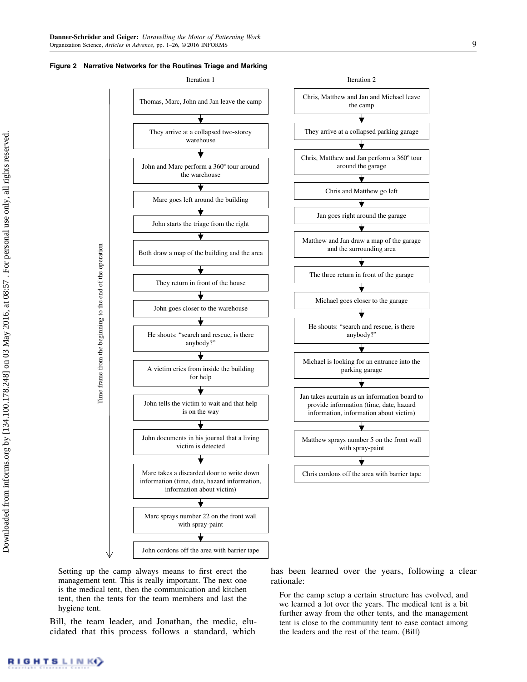#### Figure 2 Narrative Networks for the Routines Triage and Marking

<span id="page-9-0"></span>



Setting up the camp always means to first erect the management tent. This is really important. The next one is the medical tent, then the communication and kitchen tent, then the tents for the team members and last the hygiene tent.

Bill, the team leader, and Jonathan, the medic, elucidated that this process follows a standard, which

has been learned over the years, following a clear rationale:

For the camp setup a certain structure has evolved, and we learned a lot over the years. The medical tent is a bit further away from the other tents, and the management tent is close to the community tent to ease contact among the leaders and the rest of the team. (Bill)

RIGHTS LINK)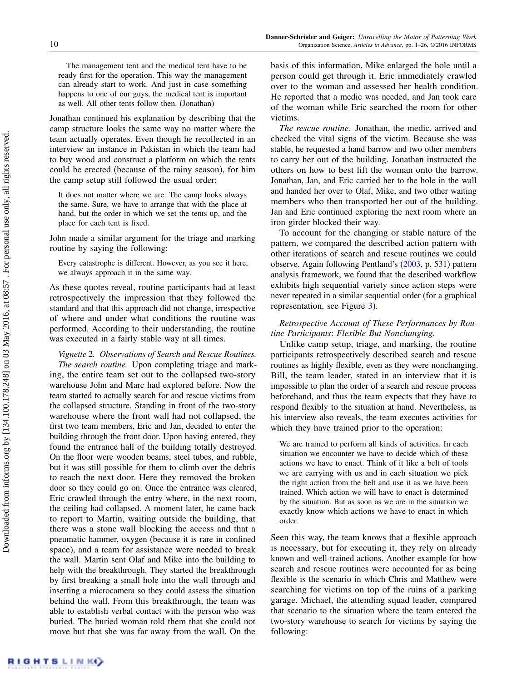The management tent and the medical tent have to be ready first for the operation. This way the management can already start to work. And just in case something happens to one of our guys, the medical tent is important as well. All other tents follow then. (Jonathan)

Jonathan continued his explanation by describing that the camp structure looks the same way no matter where the team actually operates. Even though he recollected in an interview an instance in Pakistan in which the team had to buy wood and construct a platform on which the tents could be erected (because of the rainy season), for him the camp setup still followed the usual order:

It does not matter where we are. The camp looks always the same. Sure, we have to arrange that with the place at hand, but the order in which we set the tents up, and the place for each tent is fixed.

John made a similar argument for the triage and marking routine by saying the following:

Every catastrophe is different. However, as you see it here, we always approach it in the same way.

As these quotes reveal, routine participants had at least retrospectively the impression that they followed the standard and that this approach did not change, irrespective of where and under what conditions the routine was performed. According to their understanding, the routine was executed in a fairly stable way at all times.

Vignette 2. Observations of Search and Rescue Routines. The search routine. Upon completing triage and marking, the entire team set out to the collapsed two-story warehouse John and Marc had explored before. Now the team started to actually search for and rescue victims from the collapsed structure. Standing in front of the two-story warehouse where the front wall had not collapsed, the first two team members, Eric and Jan, decided to enter the building through the front door. Upon having entered, they found the entrance hall of the building totally destroyed. On the floor were wooden beams, steel tubes, and rubble, but it was still possible for them to climb over the debris to reach the next door. Here they removed the broken door so they could go on. Once the entrance was cleared, Eric crawled through the entry where, in the next room, the ceiling had collapsed. A moment later, he came back to report to Martin, waiting outside the building, that there was a stone wall blocking the access and that a pneumatic hammer, oxygen (because it is rare in confined space), and a team for assistance were needed to break the wall. Martin sent Olaf and Mike into the building to help with the breakthrough. They started the breakthrough by first breaking a small hole into the wall through and inserting a microcamera so they could assess the situation behind the wall. From this breakthrough, the team was able to establish verbal contact with the person who was buried. The buried woman told them that she could not move but that she was far away from the wall. On the

basis of this information, Mike enlarged the hole until a person could get through it. Eric immediately crawled over to the woman and assessed her health condition. He reported that a medic was needed, and Jan took care of the woman while Eric searched the room for other victims.

The rescue routine. Jonathan, the medic, arrived and checked the vital signs of the victim. Because she was stable, he requested a hand barrow and two other members to carry her out of the building. Jonathan instructed the others on how to best lift the woman onto the barrow. Jonathan, Jan, and Eric carried her to the hole in the wall and handed her over to Olaf, Mike, and two other waiting members who then transported her out of the building. Jan and Eric continued exploring the next room where an iron girder blocked their way.

To account for the changing or stable nature of the pattern, we compared the described action pattern with other iterations of search and rescue routines we could observe. Again following Pentland's [\(2003,](#page-25-13) p. 531) pattern analysis framework, we found that the described workflow exhibits high sequential variety since action steps were never repeated in a similar sequential order (for a graphical representation, see Figure [3\)](#page-11-0).

# Retrospective Account of These Performances by Routine Participants: Flexible But Nonchanging.

Unlike camp setup, triage, and marking, the routine participants retrospectively described search and rescue routines as highly flexible, even as they were nonchanging. Bill, the team leader, stated in an interview that it is impossible to plan the order of a search and rescue process beforehand, and thus the team expects that they have to respond flexibly to the situation at hand. Nevertheless, as his interview also reveals, the team executes activities for which they have trained prior to the operation:

We are trained to perform all kinds of activities. In each situation we encounter we have to decide which of these actions we have to enact. Think of it like a belt of tools we are carrying with us and in each situation we pick the right action from the belt and use it as we have been trained. Which action we will have to enact is determined by the situation. But as soon as we are in the situation we exactly know which actions we have to enact in which order.

Seen this way, the team knows that a flexible approach is necessary, but for executing it, they rely on already known and well-trained actions. Another example for how search and rescue routines were accounted for as being flexible is the scenario in which Chris and Matthew were searching for victims on top of the ruins of a parking garage. Michael, the attending squad leader, compared that scenario to the situation where the team entered the two-story warehouse to search for victims by saying the following: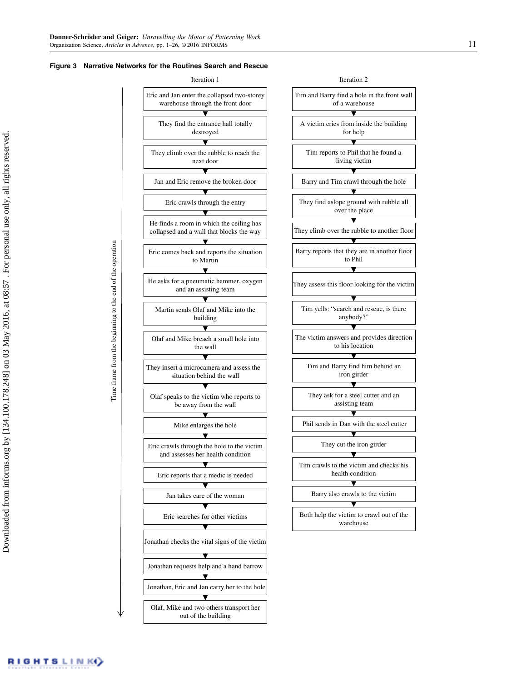#### <span id="page-11-0"></span>Figure 3 Narrative Networks for the Routines Search and Rescue

Time frame from the beginning to the end of the operation

Time frame from the beginning to the end of the operation

| for the Routines Search and Rescu                                                    |
|--------------------------------------------------------------------------------------|
| Iteration 1                                                                          |
| Eric and Jan enter the collapsed two-storey<br>warehouse through the front door      |
|                                                                                      |
| They find the entrance hall totally<br>destroyed                                     |
|                                                                                      |
| They climb over the rubble to reach the<br>next door                                 |
|                                                                                      |
| Jan and Eric remove the broken door                                                  |
|                                                                                      |
| Eric crawls through the entry                                                        |
|                                                                                      |
| He finds a room in which the ceiling has<br>collapsed and a wall that blocks the way |
|                                                                                      |
| Eric comes back and reports the situation<br>to Martin                               |
|                                                                                      |
| He asks for a pneumatic hammer, oxygen<br>and an assisting team                      |
|                                                                                      |
| Martin sends Olaf and Mike into the<br>building                                      |
|                                                                                      |
| Olaf and Mike breach a small hole into<br>the wall                                   |
|                                                                                      |
| They insert a microcamera and assess the<br>situation behind the wall                |
|                                                                                      |
| Olaf speaks to the victim who reports to                                             |

Olaf, Mike and two others transport her out of the building





Iteration 2

**RIGHTSLINK**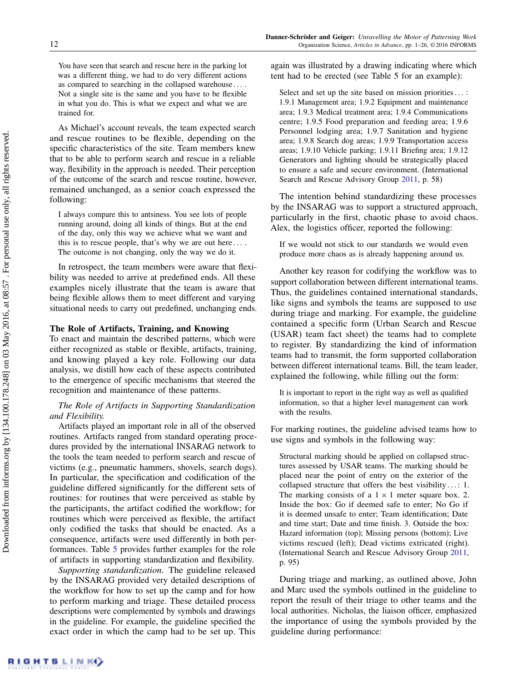You have seen that search and rescue here in the parking lot was a different thing, we had to do very different actions as compared to searching in the collapsed warehouse  $\dots$ Not a single site is the same and you have to be flexible in what you do. This is what we expect and what we are trained for.

As Michael's account reveals, the team expected search and rescue routines to be flexible, depending on the specific characteristics of the site. Team members knew that to be able to perform search and rescue in a reliable way, flexibility in the approach is needed. Their perception of the outcome of the search and rescue routine, however, remained unchanged, as a senior coach expressed the following:

I always compare this to antsiness. You see lots of people running around, doing all kinds of things. But at the end of the day, only this way we achieve what we want and this is to rescue people, that's why we are out here  $\dots$ . The outcome is not changing, only the way we do it.

In retrospect, the team members were aware that flexibility was needed to arrive at predefined ends. All these examples nicely illustrate that the team is aware that being flexible allows them to meet different and varying situational needs to carry out predefined, unchanging ends.

#### The Role of Artifacts, Training, and Knowing

To enact and maintain the described patterns, which were either recognized as stable or flexible, artifacts, training, and knowing played a key role. Following our data analysis, we distill how each of these aspects contributed to the emergence of specific mechanisms that steered the recognition and maintenance of these patterns.

# The Role of Artifacts in Supporting Standardization and Flexibility.

Artifacts played an important role in all of the observed routines. Artifacts ranged from standard operating procedures provided by the international INSARAG network to the tools the team needed to perform search and rescue of victims (e.g., pneumatic hammers, shovels, search dogs). In particular, the specification and codification of the guideline differed significantly for the different sets of routines: for routines that were perceived as stable by the participants, the artifact codified the workflow; for routines which were perceived as flexible, the artifact only codified the tasks that should be enacted. As a consequence, artifacts were used differently in both performances. Table [5](#page-13-0) provides further examples for the role of artifacts in supporting standardization and flexibility.

Supporting standardization. The guideline released by the INSARAG provided very detailed descriptions of the workflow for how to set up the camp and for how to perform marking and triage. These detailed process descriptions were complemented by symbols and drawings in the guideline. For example, the guideline specified the exact order in which the camp had to be set up. This

again was illustrated by a drawing indicating where which tent had to be erected (see Table 5 for an example):

Select and set up the site based on mission priorities...: 1.9.1 Management area; 1.9.2 Equipment and maintenance area; 1.9.3 Medical treatment area; 1.9.4 Communications centre; 1.9.5 Food preparation and feeding area; 1.9.6 Personnel lodging area; 1.9.7 Sanitation and hygiene area; 1.9.8 Search dog areas; 1.9.9 Transportation access areas; 1.9.10 Vehicle parking; 1.9.11 Briefing area; 1.9.12 Generators and lighting should be strategically placed to ensure a safe and secure environment. (International Search and Rescue Advisory Group [2011,](#page-25-26) p. 58)

The intention behind standardizing these processes by the INSARAG was to support a structured approach, particularly in the first, chaotic phase to avoid chaos. Alex, the logistics officer, reported the following:

If we would not stick to our standards we would even produce more chaos as is already happening around us.

Another key reason for codifying the workflow was to support collaboration between different international teams. Thus, the guidelines contained international standards, like signs and symbols the teams are supposed to use during triage and marking. For example, the guideline contained a specific form (Urban Search and Rescue (USAR) team fact sheet) the teams had to complete to register. By standardizing the kind of information teams had to transmit, the form supported collaboration between different international teams. Bill, the team leader, explained the following, while filling out the form:

It is important to report in the right way as well as qualified information, so that a higher level management can work with the results.

For marking routines, the guideline advised teams how to use signs and symbols in the following way:

Structural marking should be applied on collapsed structures assessed by USAR teams. The marking should be placed near the point of entry on the exterior of the collapsed structure that offers the best visibility  $\dots$ : 1. The marking consists of a  $1 \times 1$  meter square box. 2. Inside the box: Go if deemed safe to enter; No Go if it is deemed unsafe to enter; Team identification; Date and time start; Date and time finish. 3. Outside the box: Hazard information (top); Missing persons (bottom); Live victims rescued (left); Dead victims extricated (right). (International Search and Rescue Advisory Group [2011,](#page-25-26) p. 95)

During triage and marking, as outlined above, John and Marc used the symbols outlined in the guideline to report the result of their triage to other teams and the local authorities. Nicholas, the liaison officer, emphasized the importance of using the symbols provided by the guideline during performance: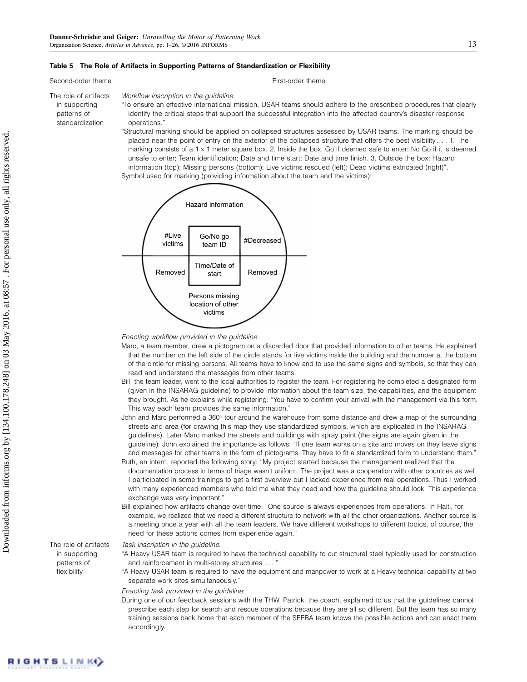<span id="page-13-0"></span>

|  | Table 5 The Role of Artifacts in Supporting Patterns of Standardization or Flexibility |  |  |  |  |
|--|----------------------------------------------------------------------------------------|--|--|--|--|
|--|----------------------------------------------------------------------------------------|--|--|--|--|

| Second-order theme                                                       | First-order theme                                                                                                                                                                                                                                                                                |
|--------------------------------------------------------------------------|--------------------------------------------------------------------------------------------------------------------------------------------------------------------------------------------------------------------------------------------------------------------------------------------------|
| The role of artifacts<br>in supporting<br>patterns of<br>standardization | Workflow inscription in the quideline:<br>"To ensure an effective international mission, USAR teams should adhere to the prescribed procedures that clearly<br>identify the critical steps that support the successful integration into the affected country's disaster response<br>operations." |
|                                                                          | "Structural marking should be applied on collapsed structures assessed by USAR teams. The marking should be<br>placed pear the point of entry on the ovterior of the collepsed otrusture that offers the best violation<br>$1$ The                                                               |

placed near the point of entry on the exterior of the collapsed structure that offers the best visibility  $\dots$  1. The marking consists of a  $1 \times 1$  meter square box. 2. Inside the box: Go if deemed safe to enter; No Go if it is deemed unsafe to enter; Team identification; Date and time start; Date and time finish. 3. Outside the box: Hazard information (top); Missing persons (bottom); Live victims rescued (left); Dead victims extricated (right)". Symbol used for marking (providing information about the team and the victims):



Enacting workflow provided in the guideline:

- Marc, a team member, drew a pictogram on a discarded door that provided information to other teams. He explained that the number on the left side of the circle stands for live victims inside the building and the number at the bottom of the circle for missing persons. All teams have to know and to use the same signs and symbols, so that they can read and understand the messages from other teams.
- Bill, the team leader, went to the local authorities to register the team. For registering he completed a designated form (given in the INSARAG guideline) to provide information about the team size, the capabilities, and the equipment they brought. As he explains while registering: "You have to confirm your arrival with the management via this form. This way each team provides the same information."
- John and Marc performed a 360° tour around the warehouse from some distance and drew a map of the surrounding streets and area (for drawing this map they use standardized symbols, which are explicated in the INSARAG guidelines). Later Marc marked the streets and buildings with spray paint (the signs are again given in the guideline). John explained the importance as follows: "If one team works on a site and moves on they leave signs and messages for other teams in the form of pictograms. They have to fit a standardized form to understand them."
- Ruth, an intern, reported the following story: "My project started because the management realized that the documentation process in terms of triage wasn't uniform. The project was a cooperation with other countries as well. I participated in some trainings to get a first overview but I lacked experience from real operations. Thus I worked with many experienced members who told me what they need and how the guideline should look. This experience exchange was very important."
- Bill explained how artifacts change over time: "One source is always experiences from operations. In Haiti, for example, we realized that we need a different structure to network with all the other organizations. Another source is a meeting once a year with all the team leaders. We have different workshops to different topics, of course, the need for these actions comes from experience again."

The role of artifacts Task inscription in the guideline:

in supporting patterns of

flexibility

"A Heavy USAR team is required to have the technical capability to cut structural steel typically used for construction and reinforcement in multi-storey structures ... .

"A Heavy USAR team is required to have the equipment and manpower to work at a Heavy technical capability at two separate work sites simultaneously."

Enacting task provided in the guideline:

During one of our feedback sessions with the THW, Patrick, the coach, explained to us that the guidelines cannot prescribe each step for search and rescue operations because they are all so different. But the team has so many training sessions back home that each member of the SEEBA team knows the possible actions and can enact them accordingly.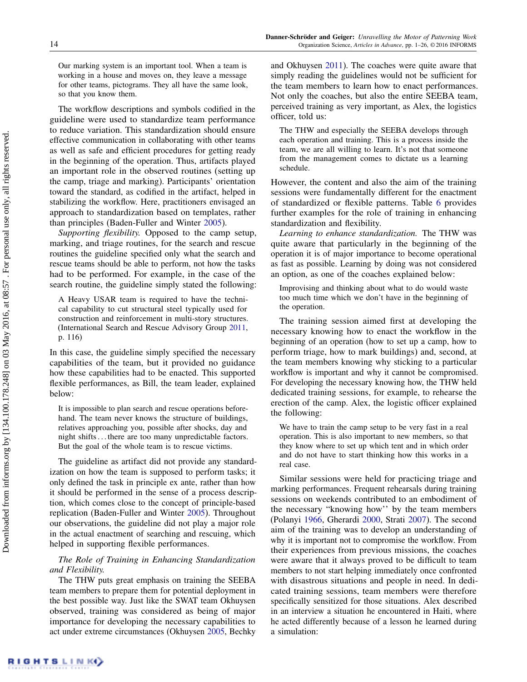Our marking system is an important tool. When a team is working in a house and moves on, they leave a message for other teams, pictograms. They all have the same look, so that you know them.

The workflow descriptions and symbols codified in the guideline were used to standardize team performance to reduce variation. This standardization should ensure effective communication in collaborating with other teams as well as safe and efficient procedures for getting ready in the beginning of the operation. Thus, artifacts played an important role in the observed routines (setting up the camp, triage and marking). Participants' orientation toward the standard, as codified in the artifact, helped in stabilizing the workflow. Here, practitioners envisaged an approach to standardization based on templates, rather than principles (Baden-Fuller and Winter [2005\)](#page-24-17).

Supporting flexibility. Opposed to the camp setup, marking, and triage routines, for the search and rescue routines the guideline specified only what the search and rescue teams should be able to perform, not how the tasks had to be performed. For example, in the case of the search routine, the guideline simply stated the following:

A Heavy USAR team is required to have the technical capability to cut structural steel typically used for construction and reinforcement in multi-story structures. (International Search and Rescue Advisory Group [2011,](#page-25-26) p. 116)

In this case, the guideline simply specified the necessary capabilities of the team, but it provided no guidance how these capabilities had to be enacted. This supported flexible performances, as Bill, the team leader, explained below:

It is impossible to plan search and rescue operations beforehand. The team never knows the structure of buildings, relatives approaching you, possible after shocks, day and night shifts...there are too many unpredictable factors. But the goal of the whole team is to rescue victims.

The guideline as artifact did not provide any standardization on how the team is supposed to perform tasks; it only defined the task in principle ex ante, rather than how it should be performed in the sense of a process description, which comes close to the concept of principle-based replication (Baden-Fuller and Winter [2005\)](#page-24-17). Throughout our observations, the guideline did not play a major role in the actual enactment of searching and rescuing, which helped in supporting flexible performances.

# The Role of Training in Enhancing Standardization and Flexibility.

The THW puts great emphasis on training the SEEBA team members to prepare them for potential deployment in the best possible way. Just like the SWAT team Okhuysen observed, training was considered as being of major importance for developing the necessary capabilities to act under extreme circumstances (Okhuysen [2005,](#page-25-27) Bechky

and Okhuysen [2011\)](#page-24-12). The coaches were quite aware that simply reading the guidelines would not be sufficient for the team members to learn how to enact performances. Not only the coaches, but also the entire SEEBA team, perceived training as very important, as Alex, the logistics officer, told us:

The THW and especially the SEEBA develops through each operation and training. This is a process inside the team, we are all willing to learn. It's not that someone from the management comes to dictate us a learning schedule.

However, the content and also the aim of the training sessions were fundamentally different for the enactment of standardized or flexible patterns. Table [6](#page-15-0) provides further examples for the role of training in enhancing standardization and flexibility.

Learning to enhance standardization. The THW was quite aware that particularly in the beginning of the operation it is of major importance to become operational as fast as possible. Learning by doing was not considered an option, as one of the coaches explained below:

Improvising and thinking about what to do would waste too much time which we don't have in the beginning of the operation.

The training session aimed first at developing the necessary knowing how to enact the workflow in the beginning of an operation (how to set up a camp, how to perform triage, how to mark buildings) and, second, at the team members knowing why sticking to a particular workflow is important and why it cannot be compromised. For developing the necessary knowing how, the THW held dedicated training sessions, for example, to rehearse the erection of the camp. Alex, the logistic officer explained the following:

We have to train the camp setup to be very fast in a real operation. This is also important to new members, so that they know where to set up which tent and in which order and do not have to start thinking how this works in a real case.

Similar sessions were held for practicing triage and marking performances. Frequent rehearsals during training sessions on weekends contributed to an embodiment of the necessary "knowing how'' by the team members (Polanyi [1966,](#page-25-28) Gherardi [2000,](#page-25-9) Strati [2007\)](#page-25-29). The second aim of the training was to develop an understanding of why it is important not to compromise the workflow. From their experiences from previous missions, the coaches were aware that it always proved to be difficult to team members to not start helping immediately once confronted with disastrous situations and people in need. In dedicated training sessions, team members were therefore specifically sensitized for those situations. Alex described in an interview a situation he encountered in Haiti, where he acted differently because of a lesson he learned during a simulation: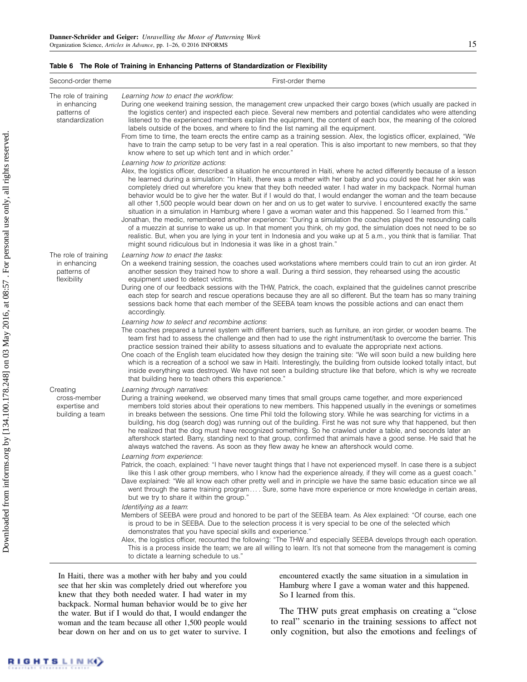| Second-order theme                                                     | First-order theme                                                                                                                                                                                                                                                                                                                                                                                                                                                                                                                                                                                                                                                                                                                                                                                                                                                                                                                                                                                                                                                                                                                                                                                          |
|------------------------------------------------------------------------|------------------------------------------------------------------------------------------------------------------------------------------------------------------------------------------------------------------------------------------------------------------------------------------------------------------------------------------------------------------------------------------------------------------------------------------------------------------------------------------------------------------------------------------------------------------------------------------------------------------------------------------------------------------------------------------------------------------------------------------------------------------------------------------------------------------------------------------------------------------------------------------------------------------------------------------------------------------------------------------------------------------------------------------------------------------------------------------------------------------------------------------------------------------------------------------------------------|
| The role of training<br>in enhancing<br>patterns of<br>standardization | Learning how to enact the workflow:<br>During one weekend training session, the management crew unpacked their cargo boxes (which usually are packed in<br>the logistics center) and inspected each piece. Several new members and potential candidates who were attending<br>listened to the experienced members explain the equipment, the content of each box, the meaning of the colored<br>labels outside of the boxes, and where to find the list naming all the equipment.<br>From time to time, the team erects the entire camp as a training session. Alex, the logistics officer, explained, "We<br>have to train the camp setup to be very fast in a real operation. This is also important to new members, so that they<br>know where to set up which tent and in which order."                                                                                                                                                                                                                                                                                                                                                                                                                |
|                                                                        | Learning how to prioritize actions:<br>Alex, the logistics officer, described a situation he encountered in Haiti, where he acted differently because of a lesson<br>he learned during a simulation: "In Haiti, there was a mother with her baby and you could see that her skin was<br>completely dried out wherefore you knew that they both needed water. I had water in my backpack. Normal human<br>behavior would be to give her the water. But if I would do that, I would endanger the woman and the team because<br>all other 1,500 people would bear down on her and on us to get water to survive. I encountered exactly the same<br>situation in a simulation in Hamburg where I gave a woman water and this happened. So I learned from this."<br>Jonathan, the medic, remembered another experience: "During a simulation the coaches played the resounding calls<br>of a muezzin at sunrise to wake us up. In that moment you think, oh my god, the simulation does not need to be so<br>realistic. But, when you are lying in your tent in Indonesia and you wake up at 5 a.m., you think that is familiar. That<br>might sound ridiculous but in Indonesia it was like in a ghost train." |
| The role of training<br>in enhancing<br>patterns of<br>flexibility     | Learning how to enact the tasks:<br>On a weekend training session, the coaches used workstations where members could train to cut an iron girder. At<br>another session they trained how to shore a wall. During a third session, they rehearsed using the acoustic<br>equipment used to detect victims.<br>During one of our feedback sessions with the THW, Patrick, the coach, explained that the quidelines cannot prescribe<br>each step for search and rescue operations because they are all so different. But the team has so many training<br>sessions back home that each member of the SEEBA team knows the possible actions and can enact them<br>accordingly.                                                                                                                                                                                                                                                                                                                                                                                                                                                                                                                                 |
|                                                                        | Learning how to select and recombine actions:<br>The coaches prepared a tunnel system with different barriers, such as furniture, an iron girder, or wooden beams. The<br>team first had to assess the challenge and then had to use the right instrument/task to overcome the barrier. This<br>practice session trained their ability to assess situations and to evaluate the appropriate next actions.<br>One coach of the English team elucidated how they design the training site: "We will soon build a new building here<br>which is a recreation of a school we saw in Haiti. Interestingly, the building from outside looked totally intact, but<br>inside everything was destroyed. We have not seen a building structure like that before, which is why we recreate<br>that building here to teach others this experience."                                                                                                                                                                                                                                                                                                                                                                    |
| Creating<br>cross-member<br>expertise and<br>building a team           | Learning through narratives:<br>During a training weekend, we observed many times that small groups came together, and more experienced<br>members told stories about their operations to new members. This happened usually in the evenings or sometimes<br>in breaks between the sessions. One time Phil told the following story. While he was searching for victims in a<br>building, his dog (search dog) was running out of the building. First he was not sure why that happened, but then<br>he realized that the dog must have recognized something. So he crawled under a table, and seconds later an<br>aftershock started. Barry, standing next to that group, confirmed that animals have a good sense. He said that he<br>always watched the ravens. As soon as they flew away he knew an aftershock would come.                                                                                                                                                                                                                                                                                                                                                                             |
|                                                                        | Learning from experience:<br>Patrick, the coach, explained: "I have never taught things that I have not experienced myself. In case there is a subject<br>like this I ask other group members, who I know had the experience already, if they will come as a guest coach."<br>Dave explained: "We all know each other pretty well and in principle we have the same basic education since we all<br>went through the same training program  Sure, some have more experience or more knowledge in certain areas,<br>but we try to share it within the group."                                                                                                                                                                                                                                                                                                                                                                                                                                                                                                                                                                                                                                               |
|                                                                        | Identifying as a team:<br>Members of SEEBA were proud and honored to be part of the SEEBA team. As Alex explained: "Of course, each one<br>is proud to be in SEEBA. Due to the selection process it is very special to be one of the selected which<br>demonstrates that you have special skills and experience."<br>Alex, the logistics officer, recounted the following: "The THW and especially SEEBA develops through each operation.<br>This is a process inside the team; we are all willing to learn. It's not that someone from the management is coming<br>to dictate a learning schedule to us."                                                                                                                                                                                                                                                                                                                                                                                                                                                                                                                                                                                                 |

<span id="page-15-0"></span>Table 6 The Role of Training in Enhancing Patterns of Standardization or Flexibility

In Haiti, there was a mother with her baby and you could see that her skin was completely dried out wherefore you knew that they both needed water. I had water in my backpack. Normal human behavior would be to give her the water. But if I would do that, I would endanger the woman and the team because all other 1,500 people would bear down on her and on us to get water to survive. I encountered exactly the same situation in a simulation in Hamburg where I gave a woman water and this happened. So I learned from this.

The THW puts great emphasis on creating a "close to real" scenario in the training sessions to affect not only cognition, but also the emotions and feelings of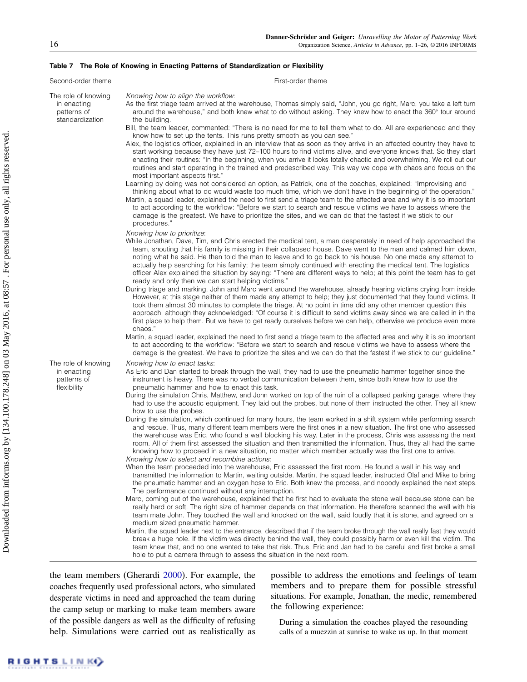| Second-order theme                                                   | First-order theme                                                                                                                                                                                                                                                                                                                                                                                                                                                                                                                                                                                                                                                                                                                                                                                                                                                                                                                                                                                                                                                                                                                                                                                                                                                                                                                                                                                                                                                                                                                                                                                                                                                                                                                                                                                                                                                                                                                                                                                                                                                                                                                                                                                                                                                                                                                                                                                                                                                                                                                                                                           |
|----------------------------------------------------------------------|---------------------------------------------------------------------------------------------------------------------------------------------------------------------------------------------------------------------------------------------------------------------------------------------------------------------------------------------------------------------------------------------------------------------------------------------------------------------------------------------------------------------------------------------------------------------------------------------------------------------------------------------------------------------------------------------------------------------------------------------------------------------------------------------------------------------------------------------------------------------------------------------------------------------------------------------------------------------------------------------------------------------------------------------------------------------------------------------------------------------------------------------------------------------------------------------------------------------------------------------------------------------------------------------------------------------------------------------------------------------------------------------------------------------------------------------------------------------------------------------------------------------------------------------------------------------------------------------------------------------------------------------------------------------------------------------------------------------------------------------------------------------------------------------------------------------------------------------------------------------------------------------------------------------------------------------------------------------------------------------------------------------------------------------------------------------------------------------------------------------------------------------------------------------------------------------------------------------------------------------------------------------------------------------------------------------------------------------------------------------------------------------------------------------------------------------------------------------------------------------------------------------------------------------------------------------------------------------|
| The role of knowing<br>in enacting<br>patterns of<br>standardization | Knowing how to align the workflow.<br>As the first triage team arrived at the warehouse, Thomas simply said, "John, you go right, Marc, you take a left turn<br>around the warehouse," and both knew what to do without asking. They knew how to enact the 360° tour around<br>the building.<br>Bill, the team leader, commented: "There is no need for me to tell them what to do. All are experienced and they<br>know how to set up the tents. This runs pretty smooth as you can see."<br>Alex, the logistics officer, explained in an interview that as soon as they arrive in an affected country they have to<br>start working because they have just 72-100 hours to find victims alive, and everyone knows that. So they start<br>enacting their routines: "In the beginning, when you arrive it looks totally chaotic and overwhelming. We roll out our<br>routines and start operating in the trained and predescribed way. This way we cope with chaos and focus on the<br>most important aspects first."<br>Learning by doing was not considered an option, as Patrick, one of the coaches, explained: "Improvising and<br>thinking about what to do would waste too much time, which we don't have in the beginning of the operation."<br>Martin, a squad leader, explained the need to first send a triage team to the affected area and why it is so important<br>to act according to the workflow: "Before we start to search and rescue victims we have to assess where the<br>damage is the greatest. We have to prioritize the sites, and we can do that the fastest if we stick to our<br>procedures."                                                                                                                                                                                                                                                                                                                                                                                                                                                                                                                                                                                                                                                                                                                                                                                                                                                                                                                                                                 |
|                                                                      | Knowing how to prioritize:<br>While Jonathan, Dave, Tim, and Chris erected the medical tent, a man desperately in need of help approached the<br>team, shouting that his family is missing in their collapsed house. Dave went to the man and calmed him down,<br>noting what he said. He then told the man to leave and to go back to his house. No one made any attempt to<br>actually help searching for his family; the team simply continued with erecting the medical tent. The logistics<br>officer Alex explained the situation by saying: "There are different ways to help; at this point the team has to get<br>ready and only then we can start helping victims."<br>During triage and marking, John and Marc went around the warehouse, already hearing victims crying from inside.<br>However, at this stage neither of them made any attempt to help; they just documented that they found victims. It<br>took them almost 30 minutes to complete the triage. At no point in time did any other member question this<br>approach, although they acknowledged: "Of course it is difficult to send victims away since we are called in in the<br>first place to help them. But we have to get ready ourselves before we can help, otherwise we produce even more<br>chaos."<br>Martin, a squad leader, explained the need to first send a triage team to the affected area and why it is so important<br>to act according to the workflow: "Before we start to search and rescue victims we have to assess where the                                                                                                                                                                                                                                                                                                                                                                                                                                                                                                                                                                                                                                                                                                                                                                                                                                                                                                                                                                                                                                                           |
| The role of knowing<br>in enacting<br>patterns of<br>flexibility     | damage is the greatest. We have to prioritize the sites and we can do that the fastest if we stick to our guideline."<br>Knowing how to enact tasks:<br>As Eric and Dan started to break through the wall, they had to use the pneumatic hammer together since the<br>instrument is heavy. There was no verbal communication between them, since both knew how to use the<br>pneumatic hammer and how to enact this task.<br>During the simulation Chris, Matthew, and John worked on top of the ruin of a collapsed parking garage, where they<br>had to use the acoustic equipment. They laid out the probes, but none of them instructed the other. They all knew<br>how to use the probes.<br>During the simulation, which continued for many hours, the team worked in a shift system while performing search<br>and rescue. Thus, many different team members were the first ones in a new situation. The first one who assessed<br>the warehouse was Eric, who found a wall blocking his way. Later in the process, Chris was assessing the next<br>room. All of them first assessed the situation and then transmitted the information. Thus, they all had the same<br>knowing how to proceed in a new situation, no matter which member actually was the first one to arrive.<br>Knowing how to select and recombine actions:<br>When the team proceeded into the warehouse, Eric assessed the first room. He found a wall in his way and<br>transmitted the information to Martin, waiting outside. Martin, the squad leader, instructed Olaf and Mike to bring<br>the pneumatic hammer and an oxygen hose to Eric. Both knew the process, and nobody explained the next steps.<br>The performance continued without any interruption.<br>Marc, coming out of the warehouse, explained that he first had to evaluate the stone wall because stone can be<br>really hard or soft. The right size of hammer depends on that information. He therefore scanned the wall with his<br>team mate John. They touched the wall and knocked on the wall, said loudly that it is stone, and agreed on a<br>medium sized pneumatic hammer.<br>Martin, the squad leader next to the entrance, described that if the team broke through the wall really fast they would<br>break a huge hole. If the victim was directly behind the wall, they could possibly harm or even kill the victim. The<br>team knew that, and no one wanted to take that risk. Thus, Eric and Jan had to be careful and first broke a small<br>hole to put a camera through to assess the situation in the next room. |

#### <span id="page-16-0"></span>Table 7 The Role of Knowing in Enacting Patterns of Standardization or Flexibility

the team members (Gherardi [2000\)](#page-25-9). For example, the coaches frequently used professional actors, who simulated desperate victims in need and approached the team during the camp setup or marking to make team members aware of the possible dangers as well as the difficulty of refusing help. Simulations were carried out as realistically as possible to address the emotions and feelings of team members and to prepare them for possible stressful situations. For example, Jonathan, the medic, remembered the following experience:

During a simulation the coaches played the resounding calls of a muezzin at sunrise to wake us up. In that moment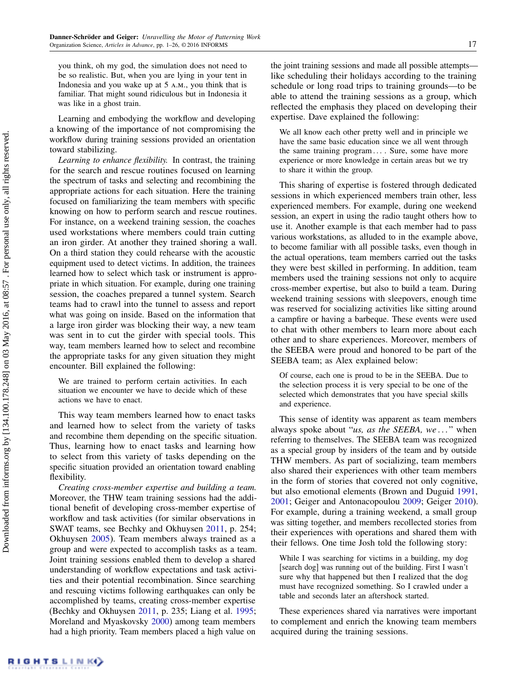you think, oh my god, the simulation does not need to be so realistic. But, when you are lying in your tent in Indonesia and you wake up at 5 a.m., you think that is familiar. That might sound ridiculous but in Indonesia it was like in a ghost train.

Learning and embodying the workflow and developing a knowing of the importance of not compromising the workflow during training sessions provided an orientation toward stabilizing.

Learning to enhance flexibility. In contrast, the training for the search and rescue routines focused on learning the spectrum of tasks and selecting and recombining the appropriate actions for each situation. Here the training focused on familiarizing the team members with specific knowing on how to perform search and rescue routines. For instance, on a weekend training session, the coaches used workstations where members could train cutting an iron girder. At another they trained shoring a wall. On a third station they could rehearse with the acoustic equipment used to detect victims. In addition, the trainees learned how to select which task or instrument is appropriate in which situation. For example, during one training session, the coaches prepared a tunnel system. Search teams had to crawl into the tunnel to assess and report what was going on inside. Based on the information that a large iron girder was blocking their way, a new team was sent in to cut the girder with special tools. This way, team members learned how to select and recombine the appropriate tasks for any given situation they might encounter. Bill explained the following:

We are trained to perform certain activities. In each situation we encounter we have to decide which of these actions we have to enact.

This way team members learned how to enact tasks and learned how to select from the variety of tasks and recombine them depending on the specific situation. Thus, learning how to enact tasks and learning how to select from this variety of tasks depending on the specific situation provided an orientation toward enabling flexibility.

Creating cross-member expertise and building a team. Moreover, the THW team training sessions had the additional benefit of developing cross-member expertise of workflow and task activities (for similar observations in SWAT teams, see Bechky and Okhuysen [2011,](#page-24-12) p. 254; Okhuysen [2005\)](#page-25-27). Team members always trained as a group and were expected to accomplish tasks as a team. Joint training sessions enabled them to develop a shared understanding of workflow expectations and task activities and their potential recombination. Since searching and rescuing victims following earthquakes can only be accomplished by teams, creating cross-member expertise (Bechky and Okhuysen [2011,](#page-24-12) p. 235; Liang et al. [1995;](#page-25-30) Moreland and Myaskovsky [2000\)](#page-25-31) among team members had a high priority. Team members placed a high value on the joint training sessions and made all possible attempts like scheduling their holidays according to the training schedule or long road trips to training grounds—to be able to attend the training sessions as a group, which reflected the emphasis they placed on developing their expertise. Dave explained the following:

We all know each other pretty well and in principle we have the same basic education since we all went through the same training program $\dots$ . Sure, some have more experience or more knowledge in certain areas but we try to share it within the group.

This sharing of expertise is fostered through dedicated sessions in which experienced members train other, less experienced members. For example, during one weekend session, an expert in using the radio taught others how to use it. Another example is that each member had to pass various workstations, as alluded to in the example above, to become familiar with all possible tasks, even though in the actual operations, team members carried out the tasks they were best skilled in performing. In addition, team members used the training sessions not only to acquire cross-member expertise, but also to build a team. During weekend training sessions with sleepovers, enough time was reserved for socializing activities like sitting around a campfire or having a barbeque. These events were used to chat with other members to learn more about each other and to share experiences. Moreover, members of the SEEBA were proud and honored to be part of the SEEBA team; as Alex explained below:

Of course, each one is proud to be in the SEEBA. Due to the selection process it is very special to be one of the selected which demonstrates that you have special skills and experience.

This sense of identity was apparent as team members always spoke about "us, as the SEEBA, we  $\dots$ " when referring to themselves. The SEEBA team was recognized as a special group by insiders of the team and by outside THW members. As part of socializing, team members also shared their experiences with other team members in the form of stories that covered not only cognitive, but also emotional elements (Brown and Duguid [1991,](#page-24-18) [2001;](#page-24-19) Geiger and Antonacopoulou [2009;](#page-25-32) Geiger [2010\)](#page-25-33). For example, during a training weekend, a small group was sitting together, and members recollected stories from their experiences with operations and shared them with their fellows. One time Josh told the following story:

While I was searching for victims in a building, my dog [search dog] was running out of the building. First I wasn't sure why that happened but then I realized that the dog must have recognized something. So I crawled under a table and seconds later an aftershock started.

These experiences shared via narratives were important to complement and enrich the knowing team members acquired during the training sessions.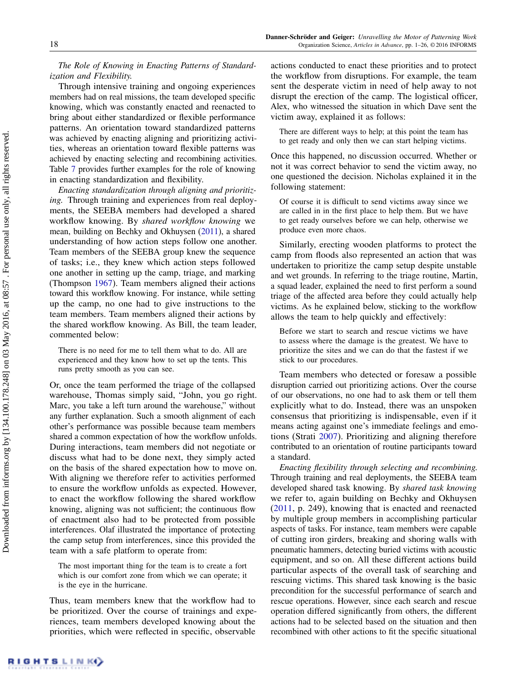The Role of Knowing in Enacting Patterns of Standardization and Flexibility.

Through intensive training and ongoing experiences members had on real missions, the team developed specific knowing, which was constantly enacted and reenacted to bring about either standardized or flexible performance patterns. An orientation toward standardized patterns was achieved by enacting aligning and prioritizing activities, whereas an orientation toward flexible patterns was achieved by enacting selecting and recombining activities. Table [7](#page-16-0) provides further examples for the role of knowing in enacting standardization and flexibility.

Enacting standardization through aligning and prioritizing. Through training and experiences from real deployments, the SEEBA members had developed a shared workflow knowing. By shared workflow knowing we mean, building on Bechky and Okhuysen [\(2011\)](#page-24-12), a shared understanding of how action steps follow one another. Team members of the SEEBA group knew the sequence of tasks; i.e., they knew which action steps followed one another in setting up the camp, triage, and marking (Thompson [1967\)](#page-26-5). Team members aligned their actions toward this workflow knowing. For instance, while setting up the camp, no one had to give instructions to the team members. Team members aligned their actions by the shared workflow knowing. As Bill, the team leader, commented below:

There is no need for me to tell them what to do. All are experienced and they know how to set up the tents. This runs pretty smooth as you can see.

Or, once the team performed the triage of the collapsed warehouse, Thomas simply said, "John, you go right. Marc, you take a left turn around the warehouse," without any further explanation. Such a smooth alignment of each other's performance was possible because team members shared a common expectation of how the workflow unfolds. During interactions, team members did not negotiate or discuss what had to be done next, they simply acted on the basis of the shared expectation how to move on. With aligning we therefore refer to activities performed to ensure the workflow unfolds as expected. However, to enact the workflow following the shared workflow knowing, aligning was not sufficient; the continuous flow of enactment also had to be protected from possible interferences. Olaf illustrated the importance of protecting the camp setup from interferences, since this provided the team with a safe platform to operate from:

The most important thing for the team is to create a fort which is our comfort zone from which we can operate; it is the eye in the hurricane.

Thus, team members knew that the workflow had to be prioritized. Over the course of trainings and experiences, team members developed knowing about the priorities, which were reflected in specific, observable actions conducted to enact these priorities and to protect the workflow from disruptions. For example, the team sent the desperate victim in need of help away to not disrupt the erection of the camp. The logistical officer, Alex, who witnessed the situation in which Dave sent the victim away, explained it as follows:

There are different ways to help; at this point the team has to get ready and only then we can start helping victims.

Once this happened, no discussion occurred. Whether or not it was correct behavior to send the victim away, no one questioned the decision. Nicholas explained it in the following statement:

Of course it is difficult to send victims away since we are called in in the first place to help them. But we have to get ready ourselves before we can help, otherwise we produce even more chaos.

Similarly, erecting wooden platforms to protect the camp from floods also represented an action that was undertaken to prioritize the camp setup despite unstable and wet grounds. In referring to the triage routine, Martin, a squad leader, explained the need to first perform a sound triage of the affected area before they could actually help victims. As he explained below, sticking to the workflow allows the team to help quickly and effectively:

Before we start to search and rescue victims we have to assess where the damage is the greatest. We have to prioritize the sites and we can do that the fastest if we stick to our procedures.

Team members who detected or foresaw a possible disruption carried out prioritizing actions. Over the course of our observations, no one had to ask them or tell them explicitly what to do. Instead, there was an unspoken consensus that prioritizing is indispensable, even if it means acting against one's immediate feelings and emotions (Strati [2007\)](#page-25-29). Prioritizing and aligning therefore contributed to an orientation of routine participants toward a standard.

Enacting flexibility through selecting and recombining. Through training and real deployments, the SEEBA team developed shared task knowing. By shared task knowing we refer to, again building on Bechky and Okhuysen [\(2011,](#page-24-12) p. 249), knowing that is enacted and reenacted by multiple group members in accomplishing particular aspects of tasks. For instance, team members were capable of cutting iron girders, breaking and shoring walls with pneumatic hammers, detecting buried victims with acoustic equipment, and so on. All these different actions build particular aspects of the overall task of searching and rescuing victims. This shared task knowing is the basic precondition for the successful performance of search and rescue operations. However, since each search and rescue operation differed significantly from others, the different actions had to be selected based on the situation and then recombined with other actions to fit the specific situational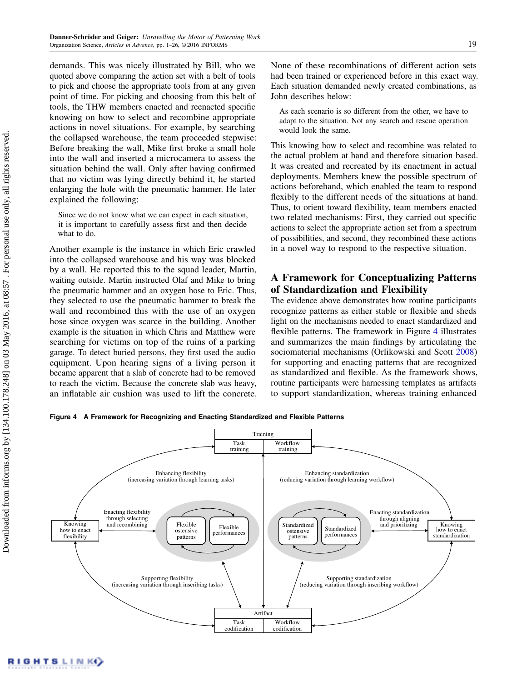demands. This was nicely illustrated by Bill, who we quoted above comparing the action set with a belt of tools to pick and choose the appropriate tools from at any given point of time. For picking and choosing from this belt of tools, the THW members enacted and reenacted specific knowing on how to select and recombine appropriate actions in novel situations. For example, by searching the collapsed warehouse, the team proceeded stepwise: Before breaking the wall, Mike first broke a small hole into the wall and inserted a microcamera to assess the situation behind the wall. Only after having confirmed that no victim was lying directly behind it, he started enlarging the hole with the pneumatic hammer. He later explained the following:

Since we do not know what we can expect in each situation, it is important to carefully assess first and then decide what to do.

Another example is the instance in which Eric crawled into the collapsed warehouse and his way was blocked by a wall. He reported this to the squad leader, Martin, waiting outside. Martin instructed Olaf and Mike to bring the pneumatic hammer and an oxygen hose to Eric. Thus, they selected to use the pneumatic hammer to break the wall and recombined this with the use of an oxygen hose since oxygen was scarce in the building. Another example is the situation in which Chris and Matthew were searching for victims on top of the ruins of a parking garage. To detect buried persons, they first used the audio equipment. Upon hearing signs of a living person it became apparent that a slab of concrete had to be removed to reach the victim. Because the concrete slab was heavy, an inflatable air cushion was used to lift the concrete. None of these recombinations of different action sets had been trained or experienced before in this exact way. Each situation demanded newly created combinations, as John describes below:

As each scenario is so different from the other, we have to adapt to the situation. Not any search and rescue operation would look the same.

This knowing how to select and recombine was related to the actual problem at hand and therefore situation based. It was created and recreated by its enactment in actual deployments. Members knew the possible spectrum of actions beforehand, which enabled the team to respond flexibly to the different needs of the situations at hand. Thus, to orient toward flexibility, team members enacted two related mechanisms: First, they carried out specific actions to select the appropriate action set from a spectrum of possibilities, and second, they recombined these actions in a novel way to respond to the respective situation.

# A Framework for Conceptualizing Patterns of Standardization and Flexibility

The evidence above demonstrates how routine participants recognize patterns as either stable or flexible and sheds light on the mechanisms needed to enact standardized and flexible patterns. The framework in Figure [4](#page-19-0) illustrates and summarizes the main findings by articulating the sociomaterial mechanisms (Orlikowski and Scott [2008\)](#page-25-14) for supporting and enacting patterns that are recognized as standardized and flexible. As the framework shows, routine participants were harnessing templates as artifacts to support standardization, whereas training enhanced

<span id="page-19-0"></span>Figure 4 A Framework for Recognizing and Enacting Standardized and Flexible Patterns

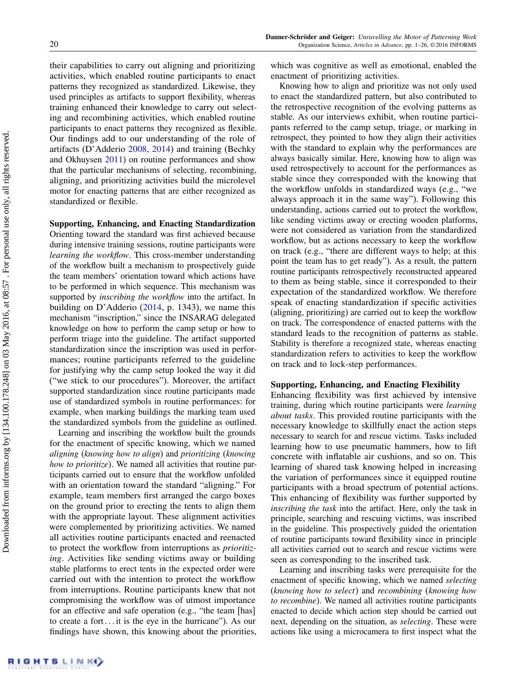their capabilities to carry out aligning and prioritizing activities, which enabled routine participants to enact patterns they recognized as standardized. Likewise, they used principles as artifacts to support flexibility, whereas training enhanced their knowledge to carry out selecting and recombining activities, which enabled routine participants to enact patterns they recognized as flexible. Our findings add to our understanding of the role of artifacts (D'Adderio [2008,](#page-24-5) [2014\)](#page-24-7) and training (Bechky and Okhuysen [2011\)](#page-24-12) on routine performances and show that the particular mechanisms of selecting, recombining, aligning, and prioritizing activities build the microlevel motor for enacting patterns that are either recognized as standardized or flexible.

Supporting, Enhancing, and Enacting Standardization

Orienting toward the standard was first achieved because during intensive training sessions, routine participants were learning the workflow. This cross-member understanding of the workflow built a mechanism to prospectively guide the team members' orientation toward which actions have to be performed in which sequence. This mechanism was supported by *inscribing the workflow* into the artifact. In building on D'Adderio [\(2014,](#page-24-7) p. 1343), we name this mechanism "inscription," since the INSARAG delegated knowledge on how to perform the camp setup or how to perform triage into the guideline. The artifact supported standardization since the inscription was used in performances; routine participants referred to the guideline for justifying why the camp setup looked the way it did ("we stick to our procedures"). Moreover, the artifact supported standardization since routine participants made use of standardized symbols in routine performances: for example, when marking buildings the marking team used the standardized symbols from the guideline as outlined.

Learning and inscribing the workflow built the grounds for the enactment of specific knowing, which we named aligning (knowing how to align) and prioritizing (knowing how to prioritize). We named all activities that routine participants carried out to ensure that the workflow unfolded with an orientation toward the standard "aligning." For example, team members first arranged the cargo boxes on the ground prior to erecting the tents to align them with the appropriate layout. These alignment activities were complemented by prioritizing activities. We named all activities routine participants enacted and reenacted to protect the workflow from interruptions as prioritizing. Activities like sending victims away or building stable platforms to erect tents in the expected order were carried out with the intention to protect the workflow from interruptions. Routine participants knew that not compromising the workflow was of utmost importance for an effective and safe operation (e.g., "the team [has] to create a fort  $\dots$  it is the eye in the hurricane"). As our findings have shown, this knowing about the priorities, which was cognitive as well as emotional, enabled the enactment of prioritizing activities.

Knowing how to align and prioritize was not only used to enact the standardized pattern, but also contributed to the retrospective recognition of the evolving patterns as stable. As our interviews exhibit, when routine participants referred to the camp setup, triage, or marking in retrospect, they pointed to how they align their activities with the standard to explain why the performances are always basically similar. Here, knowing how to align was used retrospectively to account for the performances as stable since they corresponded with the knowing that the workflow unfolds in standardized ways (e.g., "we always approach it in the same way"). Following this understanding, actions carried out to protect the workflow, like sending victims away or erecting wooden platforms, were not considered as variation from the standardized workflow, but as actions necessary to keep the workflow on track (e.g., "there are different ways to help; at this point the team has to get ready"). As a result, the pattern routine participants retrospectively reconstructed appeared to them as being stable, since it corresponded to their expectation of the standardized workflow. We therefore speak of enacting standardization if specific activities (aligning, prioritizing) are carried out to keep the workflow on track. The correspondence of enacted patterns with the standard leads to the recognition of patterns as stable. Stability is therefore a recognized state, whereas enacting standardization refers to activities to keep the workflow on track and to lock-step performances.

#### Supporting, Enhancing, and Enacting Flexibility

Enhancing flexibility was first achieved by intensive training, during which routine participants were learning about tasks. This provided routine participants with the necessary knowledge to skillfully enact the action steps necessary to search for and rescue victims. Tasks included learning how to use pneumatic hammers, how to lift concrete with inflatable air cushions, and so on. This learning of shared task knowing helped in increasing the variation of performances since it equipped routine participants with a broad spectrum of potential actions. This enhancing of flexibility was further supported by inscribing the task into the artifact. Here, only the task in principle, searching and rescuing victims, was inscribed in the guideline. This prospectively guided the orientation of routine participants toward flexibility since in principle all activities carried out to search and rescue victims were seen as corresponding to the inscribed task.

Learning and inscribing tasks were prerequisite for the enactment of specific knowing, which we named selecting  $(knowing how to select)$  and recombining  $(knowing how$ to recombine). We named all activities routine participants enacted to decide which action step should be carried out next, depending on the situation, as selecting. These were actions like using a microcamera to first inspect what the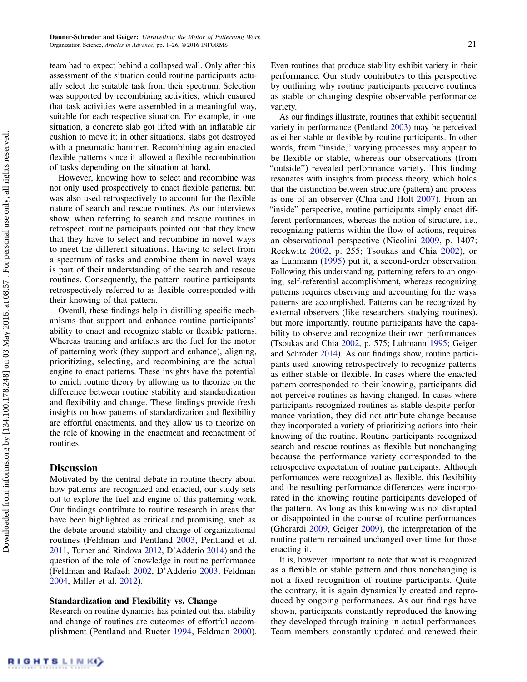team had to expect behind a collapsed wall. Only after this assessment of the situation could routine participants actually select the suitable task from their spectrum. Selection was supported by recombining activities, which ensured that task activities were assembled in a meaningful way, suitable for each respective situation. For example, in one situation, a concrete slab got lifted with an inflatable air cushion to move it; in other situations, slabs got destroyed with a pneumatic hammer. Recombining again enacted flexible patterns since it allowed a flexible recombination of tasks depending on the situation at hand.

However, knowing how to select and recombine was not only used prospectively to enact flexible patterns, but was also used retrospectively to account for the flexible nature of search and rescue routines. As our interviews show, when referring to search and rescue routines in retrospect, routine participants pointed out that they know that they have to select and recombine in novel ways to meet the different situations. Having to select from a spectrum of tasks and combine them in novel ways is part of their understanding of the search and rescue routines. Consequently, the pattern routine participants retrospectively referred to as flexible corresponded with their knowing of that pattern.

Overall, these findings help in distilling specific mechanisms that support and enhance routine participants' ability to enact and recognize stable or flexible patterns. Whereas training and artifacts are the fuel for the motor of patterning work (they support and enhance), aligning, prioritizing, selecting, and recombining are the actual engine to enact patterns. These insights have the potential to enrich routine theory by allowing us to theorize on the difference between routine stability and standardization and flexibility and change. These findings provide fresh insights on how patterns of standardization and flexibility are effortful enactments, and they allow us to theorize on the role of knowing in the enactment and reenactment of routines.

#### **Discussion**

Motivated by the central debate in routine theory about how patterns are recognized and enacted, our study sets out to explore the fuel and engine of this patterning work. Our findings contribute to routine research in areas that have been highlighted as critical and promising, such as the debate around stability and change of organizational routines (Feldman and Pentland [2003,](#page-24-4) Pentland et al. [2011,](#page-25-6) Turner and Rindova [2012,](#page-26-0) D'Adderio [2014\)](#page-24-7) and the question of the role of knowledge in routine performance (Feldman and Rafaeli [2002,](#page-25-34) D'Adderio [2003,](#page-24-16) Feldman [2004,](#page-24-20) Miller et al. [2012\)](#page-25-35).

#### Standardization and Flexibility vs. Change

Research on routine dynamics has pointed out that stability and change of routines are outcomes of effortful accomplishment (Pentland and Rueter [1994,](#page-25-12) Feldman [2000\)](#page-24-3). Even routines that produce stability exhibit variety in their performance. Our study contributes to this perspective by outlining why routine participants perceive routines as stable or changing despite observable performance variety.

As our findings illustrate, routines that exhibit sequential variety in performance (Pentland [2003\)](#page-25-13) may be perceived as either stable or flexible by routine participants. In other words, from "inside," varying processes may appear to be flexible or stable, whereas our observations (from "outside") revealed performance variety. This finding resonates with insights from process theory, which holds that the distinction between structure (pattern) and process is one of an observer (Chia and Holt [2007\)](#page-24-21). From an "inside" perspective, routine participants simply enact different performances, whereas the notion of structure, i.e., recognizing patterns within the flow of actions, requires an observational perspective (Nicolini [2009,](#page-25-36) p. 1407; Reckwitz [2002,](#page-25-37) p. 255; Tsoukas and Chia [2002\)](#page-26-6), or as Luhmann [\(1995\)](#page-25-38) put it, a second-order observation. Following this understanding, patterning refers to an ongoing, self-referential accomplishment, whereas recognizing patterns requires observing and accounting for the ways patterns are accomplished. Patterns can be recognized by external observers (like researchers studying routines), but more importantly, routine participants have the capability to observe and recognize their own performances (Tsoukas and Chia [2002,](#page-26-6) p. 575; Luhmann [1995;](#page-25-38) Geiger and Schröder [2014\)](#page-25-39). As our findings show, routine participants used knowing retrospectively to recognize patterns as either stable or flexible. In cases where the enacted pattern corresponded to their knowing, participants did not perceive routines as having changed. In cases where participants recognized routines as stable despite performance variation, they did not attribute change because they incorporated a variety of prioritizing actions into their knowing of the routine. Routine participants recognized search and rescue routines as flexible but nonchanging because the performance variety corresponded to the retrospective expectation of routine participants. Although performances were recognized as flexible, this flexibility and the resulting performance differences were incorporated in the knowing routine participants developed of the pattern. As long as this knowing was not disrupted or disappointed in the course of routine performances (Gherardi [2009,](#page-25-40) Geiger [2009\)](#page-25-41), the interpretation of the routine pattern remained unchanged over time for those enacting it.

It is, however, important to note that what is recognized as a flexible or stable pattern and thus nonchanging is not a fixed recognition of routine participants. Quite the contrary, it is again dynamically created and reproduced by ongoing performances. As our findings have shown, participants constantly reproduced the knowing they developed through training in actual performances. Team members constantly updated and renewed their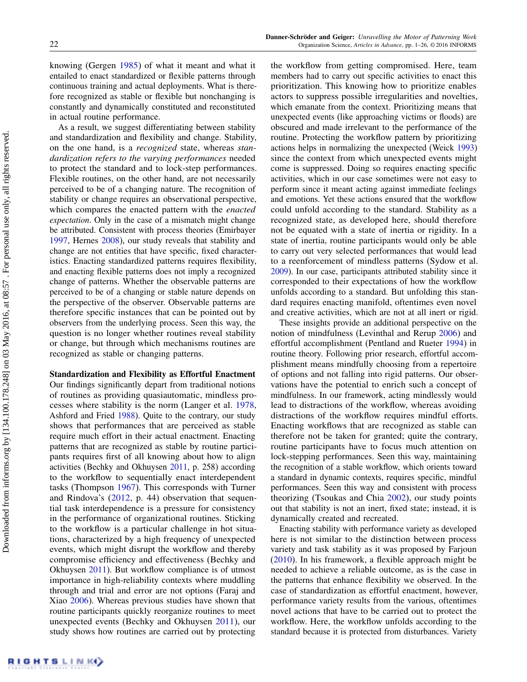knowing (Gergen [1985\)](#page-25-42) of what it meant and what it entailed to enact standardized or flexible patterns through continuous training and actual deployments. What is therefore recognized as stable or flexible but nonchanging is constantly and dynamically constituted and reconstituted in actual routine performance.

As a result, we suggest differentiating between stability and standardization and flexibility and change. Stability, on the one hand, is a recognized state, whereas standardization refers to the varying performances needed to protect the standard and to lock-step performances. Flexible routines, on the other hand, are not necessarily perceived to be of a changing nature. The recognition of stability or change requires an observational perspective, which compares the enacted pattern with the *enacted* expectation. Only in the case of a mismatch might change be attributed. Consistent with process theories (Emirbayer [1997,](#page-24-13) Hernes [2008\)](#page-25-43), our study reveals that stability and change are not entities that have specific, fixed characteristics. Enacting standardized patterns requires flexibility, and enacting flexible patterns does not imply a recognized change of patterns. Whether the observable patterns are perceived to be of a changing or stable nature depends on the perspective of the observer. Observable patterns are therefore specific instances that can be pointed out by observers from the underlying process. Seen this way, the question is no longer whether routines reveal stability or change, but through which mechanisms routines are recognized as stable or changing patterns.

#### Standardization and Flexibility as Effortful Enactment

Our findings significantly depart from traditional notions of routines as providing quasiautomatic, mindless processes where stability is the norm (Langer et al. [1978,](#page-25-44) Ashford and Fried [1988\)](#page-24-1). Quite to the contrary, our study shows that performances that are perceived as stable require much effort in their actual enactment. Enacting patterns that are recognized as stable by routine participants requires first of all knowing about how to align activities (Bechky and Okhuysen [2011,](#page-24-12) p. 258) according to the workflow to sequentially enact interdependent tasks (Thompson [1967\)](#page-26-5). This corresponds with Turner and Rindova's [\(2012,](#page-26-0) p. 44) observation that sequential task interdependence is a pressure for consistency in the performance of organizational routines. Sticking to the workflow is a particular challenge in hot situations, characterized by a high frequency of unexpected events, which might disrupt the workflow and thereby compromise efficiency and effectiveness (Bechky and Okhuysen [2011\)](#page-24-12). But workflow compliance is of utmost importance in high-reliability contexts where muddling through and trial and error are not options (Faraj and Xiao [2006\)](#page-24-10). Whereas previous studies have shown that routine participants quickly reorganize routines to meet unexpected events (Bechky and Okhuysen [2011\)](#page-24-12), our study shows how routines are carried out by protecting

the workflow from getting compromised. Here, team members had to carry out specific activities to enact this prioritization. This knowing how to prioritize enables actors to suppress possible irregularities and novelties, which emanate from the context. Prioritizing means that unexpected events (like approaching victims or floods) are obscured and made irrelevant to the performance of the routine. Protecting the workflow pattern by prioritizing actions helps in normalizing the unexpected (Weick [1993\)](#page-26-7) since the context from which unexpected events might come is suppressed. Doing so requires enacting specific activities, which in our case sometimes were not easy to perform since it meant acting against immediate feelings and emotions. Yet these actions ensured that the workflow could unfold according to the standard. Stability as a recognized state, as developed here, should therefore not be equated with a state of inertia or rigidity. In a state of inertia, routine participants would only be able to carry out very selected performances that would lead to a reenforcement of mindless patterns (Sydow et al. [2009\)](#page-26-8). In our case, participants attributed stability since it corresponded to their expectations of how the workflow unfolds according to a standard. But unfolding this standard requires enacting manifold, oftentimes even novel and creative activities, which are not at all inert or rigid.

These insights provide an additional perspective on the notion of mindfulness (Levinthal and Rerup [2006\)](#page-25-45) and effortful accomplishment (Pentland and Rueter [1994\)](#page-25-12) in routine theory. Following prior research, effortful accomplishment means mindfully choosing from a repertoire of options and not falling into rigid patterns. Our observations have the potential to enrich such a concept of mindfulness. In our framework, acting mindlessly would lead to distractions of the workflow, whereas avoiding distractions of the workflow requires mindful efforts. Enacting workflows that are recognized as stable can therefore not be taken for granted; quite the contrary, routine participants have to focus much attention on lock-stepping performances. Seen this way, maintaining the recognition of a stable workflow, which orients toward a standard in dynamic contexts, requires specific, mindful performances. Seen this way and consistent with process theorizing (Tsoukas and Chia [2002\)](#page-26-6), our study points out that stability is not an inert, fixed state; instead, it is dynamically created and recreated.

Enacting stability with performance variety as developed here is not similar to the distinction between process variety and task stability as it was proposed by Farjoun [\(2010\)](#page-24-11). In his framework, a flexible approach might be needed to achieve a reliable outcome, as is the case in the patterns that enhance flexibility we observed. In the case of standardization as effortful enactment, however, performance variety results from the various, oftentimes novel actions that have to be carried out to protect the workflow. Here, the workflow unfolds according to the standard because it is protected from disturbances. Variety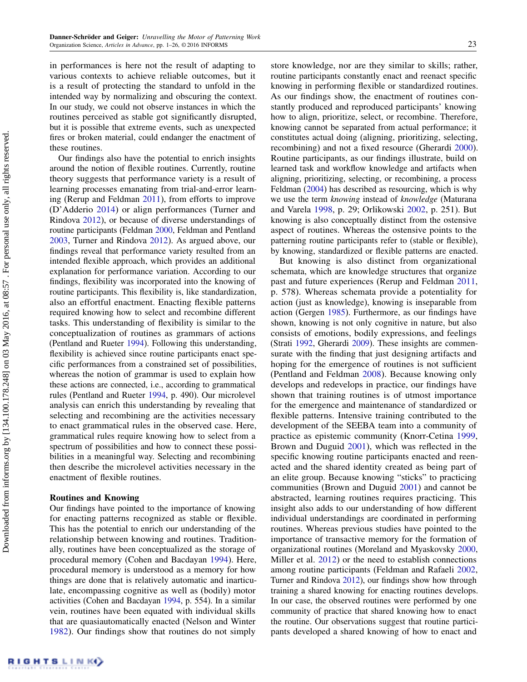in performances is here not the result of adapting to various contexts to achieve reliable outcomes, but it is a result of protecting the standard to unfold in the intended way by normalizing and obscuring the context. In our study, we could not observe instances in which the routines perceived as stable got significantly disrupted, but it is possible that extreme events, such as unexpected fires or broken material, could endanger the enactment of these routines.

Our findings also have the potential to enrich insights around the notion of flexible routines. Currently, routine theory suggests that performance variety is a result of learning processes emanating from trial-and-error learning (Rerup and Feldman [2011\)](#page-25-7), from efforts to improve (D'Adderio [2014\)](#page-24-7) or align performances (Turner and Rindova [2012\)](#page-26-0), or because of diverse understandings of routine participants (Feldman [2000,](#page-24-3) Feldman and Pentland [2003,](#page-24-4) Turner and Rindova [2012\)](#page-26-0). As argued above, our findings reveal that performance variety resulted from an intended flexible approach, which provides an additional explanation for performance variation. According to our findings, flexibility was incorporated into the knowing of routine participants. This flexibility is, like standardization, also an effortful enactment. Enacting flexible patterns required knowing how to select and recombine different tasks. This understanding of flexibility is similar to the conceptualization of routines as grammars of actions (Pentland and Rueter [1994\)](#page-25-12). Following this understanding, flexibility is achieved since routine participants enact specific performances from a constrained set of possibilities, whereas the notion of grammar is used to explain how these actions are connected, i.e., according to grammatical rules (Pentland and Rueter [1994,](#page-25-12) p. 490). Our microlevel analysis can enrich this understanding by revealing that selecting and recombining are the activities necessary to enact grammatical rules in the observed case. Here, grammatical rules require knowing how to select from a spectrum of possibilities and how to connect these possibilities in a meaningful way. Selecting and recombining then describe the microlevel activities necessary in the enactment of flexible routines.

#### Routines and Knowing

Our findings have pointed to the importance of knowing for enacting patterns recognized as stable or flexible. This has the potential to enrich our understanding of the relationship between knowing and routines. Traditionally, routines have been conceptualized as the storage of procedural memory (Cohen and Bacdayan [1994\)](#page-24-22). Here, procedural memory is understood as a memory for how things are done that is relatively automatic and inarticulate, encompassing cognitive as well as (bodily) motor activities (Cohen and Bacdayan [1994,](#page-24-22) p. 554). In a similar vein, routines have been equated with individual skills that are quasiautomatically enacted (Nelson and Winter [1982\)](#page-25-1). Our findings show that routines do not simply

store knowledge, nor are they similar to skills; rather, routine participants constantly enact and reenact specific knowing in performing flexible or standardized routines. As our findings show, the enactment of routines constantly produced and reproduced participants' knowing how to align, prioritize, select, or recombine. Therefore, knowing cannot be separated from actual performance; it constitutes actual doing (aligning, prioritizing, selecting, recombining) and not a fixed resource (Gherardi [2000\)](#page-25-9). Routine participants, as our findings illustrate, build on learned task and workflow knowledge and artifacts when aligning, prioritizing, selecting, or recombining, a process Feldman [\(2004\)](#page-24-20) has described as resourcing, which is why we use the term knowing instead of knowledge (Maturana and Varela [1998,](#page-25-46) p. 29; Orlikowski [2002,](#page-25-47) p. 251). But knowing is also conceptually distinct from the ostensive aspect of routines. Whereas the ostensive points to the patterning routine participants refer to (stable or flexible), by knowing, standardized or flexible patterns are enacted.

But knowing is also distinct from organizational schemata, which are knowledge structures that organize past and future experiences (Rerup and Feldman [2011,](#page-25-7) p. 578). Whereas schemata provide a potentiality for action (just as knowledge), knowing is inseparable from action (Gergen [1985\)](#page-25-42). Furthermore, as our findings have shown, knowing is not only cognitive in nature, but also consists of emotions, bodily expressions, and feelings (Strati [1992,](#page-25-48) Gherardi [2009\)](#page-25-40). These insights are commensurate with the finding that just designing artifacts and hoping for the emergence of routines is not sufficient (Pentland and Feldman [2008\)](#page-25-4). Because knowing only develops and redevelops in practice, our findings have shown that training routines is of utmost importance for the emergence and maintenance of standardized or flexible patterns. Intensive training contributed to the development of the SEEBA team into a community of practice as epistemic community (Knorr-Cetina [1999,](#page-25-49) Brown and Duguid [2001\)](#page-24-19), which was reflected in the specific knowing routine participants enacted and reenacted and the shared identity created as being part of an elite group. Because knowing "sticks" to practicing communities (Brown and Duguid [2001\)](#page-24-19) and cannot be abstracted, learning routines requires practicing. This insight also adds to our understanding of how different individual understandings are coordinated in performing routines. Whereas previous studies have pointed to the importance of transactive memory for the formation of organizational routines (Moreland and Myaskovsky [2000,](#page-25-31) Miller et al. [2012\)](#page-25-35) or the need to establish connections among routine participants (Feldman and Rafaeli [2002,](#page-25-34) Turner and Rindova [2012\)](#page-26-0), our findings show how through training a shared knowing for enacting routines develops. In our case, the observed routines were performed by one community of practice that shared knowing how to enact the routine. Our observations suggest that routine participants developed a shared knowing of how to enact and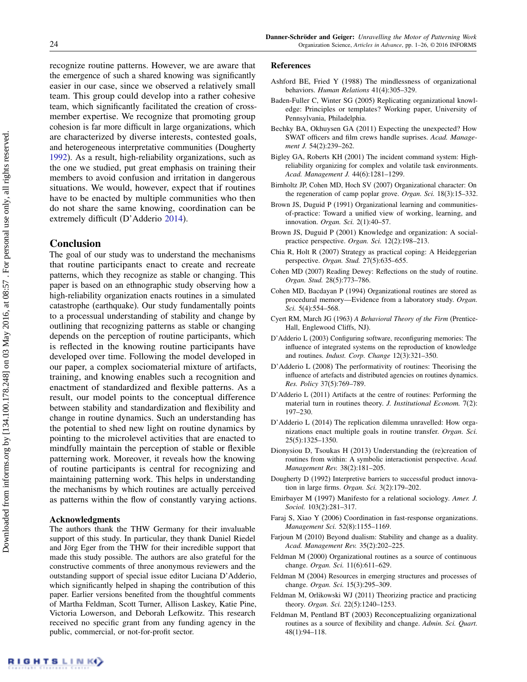recognize routine patterns. However, we are aware that the emergence of such a shared knowing was significantly easier in our case, since we observed a relatively small team. This group could develop into a rather cohesive team, which significantly facilitated the creation of crossmember expertise. We recognize that promoting group cohesion is far more difficult in large organizations, which are characterized by diverse interests, contested goals, and heterogeneous interpretative communities (Dougherty [1992\)](#page-24-23). As a result, high-reliability organizations, such as the one we studied, put great emphasis on training their members to avoid confusion and irritation in dangerous situations. We would, however, expect that if routines have to be enacted by multiple communities who then do not share the same knowing, coordination can be extremely difficult (D'Adderio [2014\)](#page-24-7).

# Conclusion

The goal of our study was to understand the mechanisms that routine participants enact to create and recreate patterns, which they recognize as stable or changing. This paper is based on an ethnographic study observing how a high-reliability organization enacts routines in a simulated catastrophe (earthquake). Our study fundamentally points to a processual understanding of stability and change by outlining that recognizing patterns as stable or changing depends on the perception of routine participants, which is reflected in the knowing routine participants have developed over time. Following the model developed in our paper, a complex sociomaterial mixture of artifacts, training, and knowing enables such a recognition and enactment of standardized and flexible patterns. As a result, our model points to the conceptual difference between stability and standardization and flexibility and change in routine dynamics. Such an understanding has the potential to shed new light on routine dynamics by pointing to the microlevel activities that are enacted to mindfully maintain the perception of stable or flexible patterning work. Moreover, it reveals how the knowing of routine participants is central for recognizing and maintaining patterning work. This helps in understanding the mechanisms by which routines are actually perceived as patterns within the flow of constantly varying actions.

# Acknowledgments

The authors thank the THW Germany for their invaluable support of this study. In particular, they thank Daniel Riedel and Jörg Eger from the THW for their incredible support that made this study possible. The authors are also grateful for the constructive comments of three anonymous reviewers and the outstanding support of special issue editor Luciana D'Adderio, which significantly helped in shaping the contribution of this paper. Earlier versions benefited from the thoughtful comments of Martha Feldman, Scott Turner, Allison Laskey, Katie Pine, Victoria Lowerson, and Deborah Lefkowitz. This research received no specific grant from any funding agency in the public, commercial, or not-for-profit sector.

#### References

- <span id="page-24-1"></span>Ashford BE, Fried Y (1988) The mindlessness of organizational behaviors. Human Relations 41(4):305–329.
- <span id="page-24-17"></span>Baden-Fuller C, Winter SG (2005) Replicating organizational knowledge: Principles or templates? Working paper, University of Pennsylvania, Philadelphia.
- <span id="page-24-12"></span>Bechky BA, Okhuysen GA (2011) Expecting the unexpected? How SWAT officers and film crews handle suprises. Acad. Management J. 54(2):239–262.
- <span id="page-24-9"></span>Bigley GA, Roberts KH (2001) The incident command system: Highreliability organizing for complex and volatile task environments. Acad. Management J. 44(6):1281–1299.
- <span id="page-24-15"></span>Birnholtz JP, Cohen MD, Hoch SV (2007) Organizational character: On the regeneration of camp poplar grove. Organ. Sci. 18(3):15-332.
- <span id="page-24-18"></span>Brown JS, Duguid P (1991) Organizational learning and communitiesof-practice: Toward a unified view of working, learning, and innovation. Organ. Sci. 2(1):40–57.
- <span id="page-24-19"></span>Brown JS, Duguid P (2001) Knowledge and organization: A socialpractice perspective. Organ. Sci. 12(2):198–213.
- <span id="page-24-21"></span>Chia R, Holt R (2007) Strategy as practical coping: A Heideggerian perspective. Organ. Stud. 27(5):635–655.
- <span id="page-24-14"></span>Cohen MD (2007) Reading Dewey: Reflections on the study of routine. Organ. Stud. 28(5):773–786.
- <span id="page-24-22"></span>Cohen MD, Bacdayan P (1994) Organizational routines are stored as procedural memory—Evidence from a laboratory study. Organ. Sci. 5(4):554-568.
- <span id="page-24-0"></span>Cyert RM, March JG (1963) A Behavioral Theory of the Firm (Prentice-Hall, Englewood Cliffs, NJ).
- <span id="page-24-16"></span>D'Adderio L (2003) Configuring software, reconfiguring memories: The influence of integrated systems on the reproduction of knowledge and routines. Indust. Corp. Change 12(3):321–350.
- <span id="page-24-5"></span>D'Adderio L (2008) The performativity of routines: Theorising the influence of artefacts and distributed agencies on routines dynamics. Res. Policy 37(5):769–789.
- <span id="page-24-8"></span>D'Adderio L (2011) Artifacts at the centre of routines: Performing the material turn in routines theory. J. Institutional Econom. 7(2): 197–230.
- <span id="page-24-7"></span>D'Adderio L (2014) The replication dilemma unravelled: How organizations enact multiple goals in routine transfer. Organ. Sci. 25(5):1325–1350.
- <span id="page-24-6"></span>Dionysiou D, Tsoukas H (2013) Understanding the (re)creation of routines from within: A symbolic interactionist perspective. Acad. Management Rev. 38(2):181–205.
- <span id="page-24-23"></span>Dougherty D (1992) Interpretive barriers to successful product innovation in large firms. Organ. Sci. 3(2):179–202.
- <span id="page-24-13"></span>Emirbayer M (1997) Manifesto for a relational sociology. Amer. J. Sociol. 103(2):281–317.
- <span id="page-24-10"></span>Faraj S, Xiao Y (2006) Coordination in fast-response organizations. Management Sci. 52(8):1155–1169.
- <span id="page-24-11"></span>Farjoun M (2010) Beyond dualism: Stability and change as a duality. Acad. Management Rev. 35(2):202–225.
- <span id="page-24-3"></span>Feldman M (2000) Organizational routines as a source of continuous change. Organ. Sci. 11(6):611–629.
- <span id="page-24-20"></span>Feldman M (2004) Resources in emerging structures and processes of change. Organ. Sci. 15(3):295–309.
- <span id="page-24-2"></span>Feldman M, Orlikowski WJ (2011) Theorizing practice and practicing theory. Organ. Sci. 22(5):1240–1253.
- <span id="page-24-4"></span>Feldman M, Pentland BT (2003) Reconceptualizing organizational routines as a source of flexibility and change. Admin. Sci. Quart. 48(1):94–118.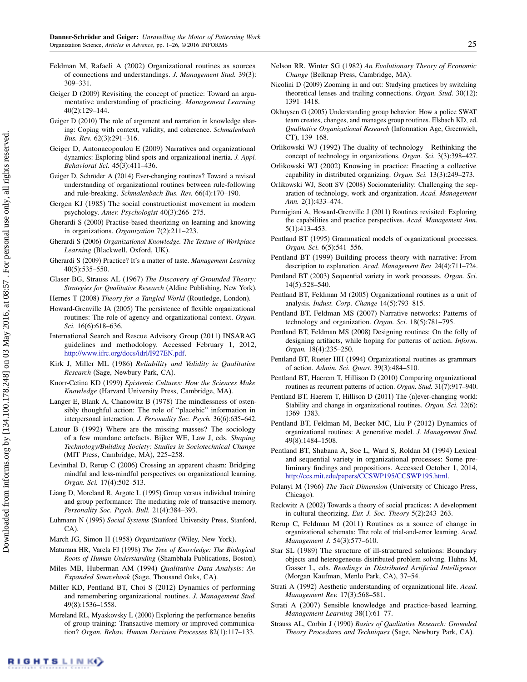- <span id="page-25-34"></span>Feldman M, Rafaeli A (2002) Organizational routines as sources of connections and understandings. J. Management Stud. 39(3): 309–331.
- <span id="page-25-41"></span>Geiger D (2009) Revisiting the concept of practice: Toward an argumentative understanding of practicing. Management Learning 40(2):129–144.
- <span id="page-25-33"></span>Geiger D (2010) The role of argument and narration in knowledge sharing: Coping with context, validity, and coherence. Schmalenbach Bus. Rev. 62(3):291–316.
- <span id="page-25-32"></span>Geiger D, Antonacopoulou E (2009) Narratives and organizational dynamics: Exploring blind spots and organizational inertia. J. Appl. Behavioral Sci. 45(3):411–436.
- <span id="page-25-39"></span>Geiger D, Schröder A (2014) Ever-changing routines? Toward a revised understanding of organizational routines between rule-following and rule-breaking. Schmalenbach Bus. Rev. 66(4):170–190.
- <span id="page-25-42"></span>Gergen KJ (1985) The social constructionist movement in modern psychology. Amer. Psychologist 40(3):266–275.
- <span id="page-25-9"></span>Gherardi S (2000) Practise-based theorizing on learning and knowing in organizations. Organization 7(2):211–223.
- <span id="page-25-19"></span>Gherardi S (2006) Organizational Knowledge. The Texture of Workplace Learning (Blackwell, Oxford, UK).
- <span id="page-25-40"></span>Gherardi S (2009) Practice? It's a matter of taste. Management Learning 40(5):535–550.
- <span id="page-25-21"></span>Glaser BG, Strauss AL (1967) The Discovery of Grounded Theory: Strategies for Qualitative Research (Aldine Publishing, New York).
- <span id="page-25-43"></span>Hernes T (2008) Theory for a Tangled World (Routledge, London).
- <span id="page-25-3"></span>Howard-Grenville JA (2005) The persistence of flexible organizational routines: The role of agency and organizational context. Organ. Sci. 16(6):618-636.
- <span id="page-25-26"></span>International Search and Rescue Advisory Group (2011) INSARAG guidelines and methodology. Accessed February 1, 2012, [http://www.ifrc.org/docs/idrl/I927EN.pdf.](http://www.ifrc.org/docs/idrl/I927EN.pdf)
- <span id="page-25-20"></span>Kirk J, Miller ML (1986) Reliability and Validity in Qualitative Research (Sage, Newbury Park, CA).
- <span id="page-25-49"></span>Knorr-Cetina KD (1999) Epistemic Cultures: How the Sciences Make Knowledge (Harvard University Press, Cambridge, MA).
- <span id="page-25-44"></span>Langer E, Blank A, Chanowitz B (1978) The mindlessness of ostensibly thoughful action: The role of "placebic" information in interpersonal interaction. J. Personality Soc. Psych. 36(6):635–642.
- <span id="page-25-16"></span>Latour B (1992) Where are the missing masses? The sociology of a few mundane artefacts. Bijker WE, Law J, eds. Shaping Technology/Building Society: Studies in Sociotechnical Change (MIT Press, Cambridge, MA), 225–258.
- <span id="page-25-45"></span>Levinthal D, Rerup C (2006) Crossing an apparent chasm: Bridging mindful and less-mindful perspectives on organizational learning. Organ. Sci. 17(4):502–513.
- <span id="page-25-30"></span>Liang D, Moreland R, Argote L (1995) Group versus individual training and group performance: The mediating role of transactive memory. Personality Soc. Psych. Bull. 21(4):384-393.
- <span id="page-25-38"></span>Luhmann N (1995) Social Systems (Stanford University Press, Stanford, CA).
- <span id="page-25-0"></span>March JG, Simon H (1958) Organizations (Wiley, New York).
- <span id="page-25-46"></span>Maturana HR, Varela FJ (1998) The Tree of Knowledge: The Biological Roots of Human Understanding (Shambhala Publications, Boston).
- <span id="page-25-24"></span>Miles MB, Huberman AM (1994) Qualitative Data Analysis: An Expanded Sourcebook (Sage, Thousand Oaks, CA).
- <span id="page-25-35"></span>Miller KD, Pentland BT, Choi S (2012) Dynamics of performing and remembering organizational routines. J. Management Stud. 49(8):1536–1558.
- <span id="page-25-31"></span>Moreland RL, Myaskovsky L (2000) Exploring the performance benefits of group training: Transactive memory or improved communication? Organ. Behav. Human Decision Processes 82(1):117–133.
- <span id="page-25-1"></span>Nelson RR, Winter SG (1982) An Evolutionary Theory of Economic Change (Belknap Press, Cambridge, MA).
- <span id="page-25-36"></span>Nicolini D (2009) Zooming in and out: Studying practices by switching theoretical lenses and trailing connections. Organ. Stud. 30(12): 1391–1418.
- <span id="page-25-27"></span>Okhuysen G (2005) Understanding group behavior: How a police SWAT team creates, changes, and manages group routines. Elsbach KD, ed. Qualitative Organizational Research (Information Age, Greenwich, CT), 139–168.
- <span id="page-25-17"></span>Orlikowski WJ (1992) The duality of technology—Rethinking the concept of technology in organizations. Organ. Sci. 3(3):398–427.
- <span id="page-25-47"></span>Orlikowski WJ (2002) Knowing in practice: Enacting a collective capability in distributed organizing. Organ. Sci. 13(3):249–273.
- <span id="page-25-14"></span>Orlikowski WJ, Scott SV (2008) Sociomateriality: Challenging the separation of technology, work and organization. Acad. Management Ann. 2(1):433–474.
- <span id="page-25-2"></span>Parmigiani A, Howard-Grenville J (2011) Routines revisited: Exploring the capabilities and practice perspectives. Acad. Management Ann. 5(1):413–453.
- <span id="page-25-8"></span>Pentland BT (1995) Grammatical models of organizational processes. Organ. Sci. 6(5):541–556.
- <span id="page-25-23"></span>Pentland BT (1999) Building process theory with narrative: From description to explanation. Acad. Management Rev. 24(4):711–724.
- <span id="page-25-13"></span>Pentland BT (2003) Sequential variety in work processes. Organ. Sci. 14(5):528–540.
- <span id="page-25-10"></span>Pentland BT, Feldman M (2005) Organizational routines as a unit of analysis. Indust. Corp. Change 14(5):793–815.
- <span id="page-25-22"></span>Pentland BT, Feldman MS (2007) Narrative networks: Patterns of technology and organization. Organ. Sci. 18(5):781-795.
- <span id="page-25-4"></span>Pentland BT, Feldman MS (2008) Designing routines: On the folly of designing artifacts, while hoping for patterns of action. Inform. Organ. 18(4):235–250.
- <span id="page-25-12"></span>Pentland BT, Rueter HH (1994) Organizational routines as grammars of action. Admin. Sci. Quart. 39(3):484–510.
- <span id="page-25-5"></span>Pentland BT, Haerem T, Hillison D (2010) Comparing organizational routines as recurrent patterns of action. Organ. Stud. 31(7):917–940.
- <span id="page-25-6"></span>Pentland BT, Haerem T, Hillison D (2011) The (n)ever-changing world: Stability and change in organizational routines. Organ. Sci. 22(6): 1369–1383.
- <span id="page-25-11"></span>Pentland BT, Feldman M, Becker MC, Liu P (2012) Dynamics of organizational routines: A generative model. J. Management Stud. 49(8):1484–1508.
- <span id="page-25-15"></span>Pentland BT, Shabana A, Soe L, Ward S, Roldan M (1994) Lexical and sequential variety in organizational processes: Some preliminary findings and propositions. Accessed October 1, 2014, [http://ccs.mit.edu/papers/CCSWP195/CCSWP195.html.](http://ccs.mit.edu/papers/CCSWP195/CCSWP195.html)
- <span id="page-25-28"></span>Polanyi M (1966) The Tacit Dimension (University of Chicago Press, Chicago).
- <span id="page-25-37"></span>Reckwitz A (2002) Towards a theory of social practices: A development in cultural theorizing. Eur. J. Soc. Theory 5(2):243–263.
- <span id="page-25-7"></span>Rerup C, Feldman M (2011) Routines as a source of change in organizational schemata: The role of trial-and-error learning. Acad. Management J. 54(3):577–610.
- <span id="page-25-18"></span>Star SL (1989) The structure of ill-structured solutions: Boundary objects and heterogeneous distributed problem solving. Huhns M, Gasser L, eds. Readings in Distributed Artificial Intelligence (Morgan Kaufman, Menlo Park, CA), 37–54.
- <span id="page-25-48"></span>Strati A (1992) Aesthetic understanding of organizational life. Acad. Management Rev. 17(3):568–581.
- <span id="page-25-29"></span>Strati A (2007) Sensible knowledge and practice-based learning. Management Learning 38(1):61–77.
- <span id="page-25-25"></span>Strauss AL, Corbin J (1990) Basics of Qualitative Research: Grounded Theory Procedures and Techniques (Sage, Newbury Park, CA).